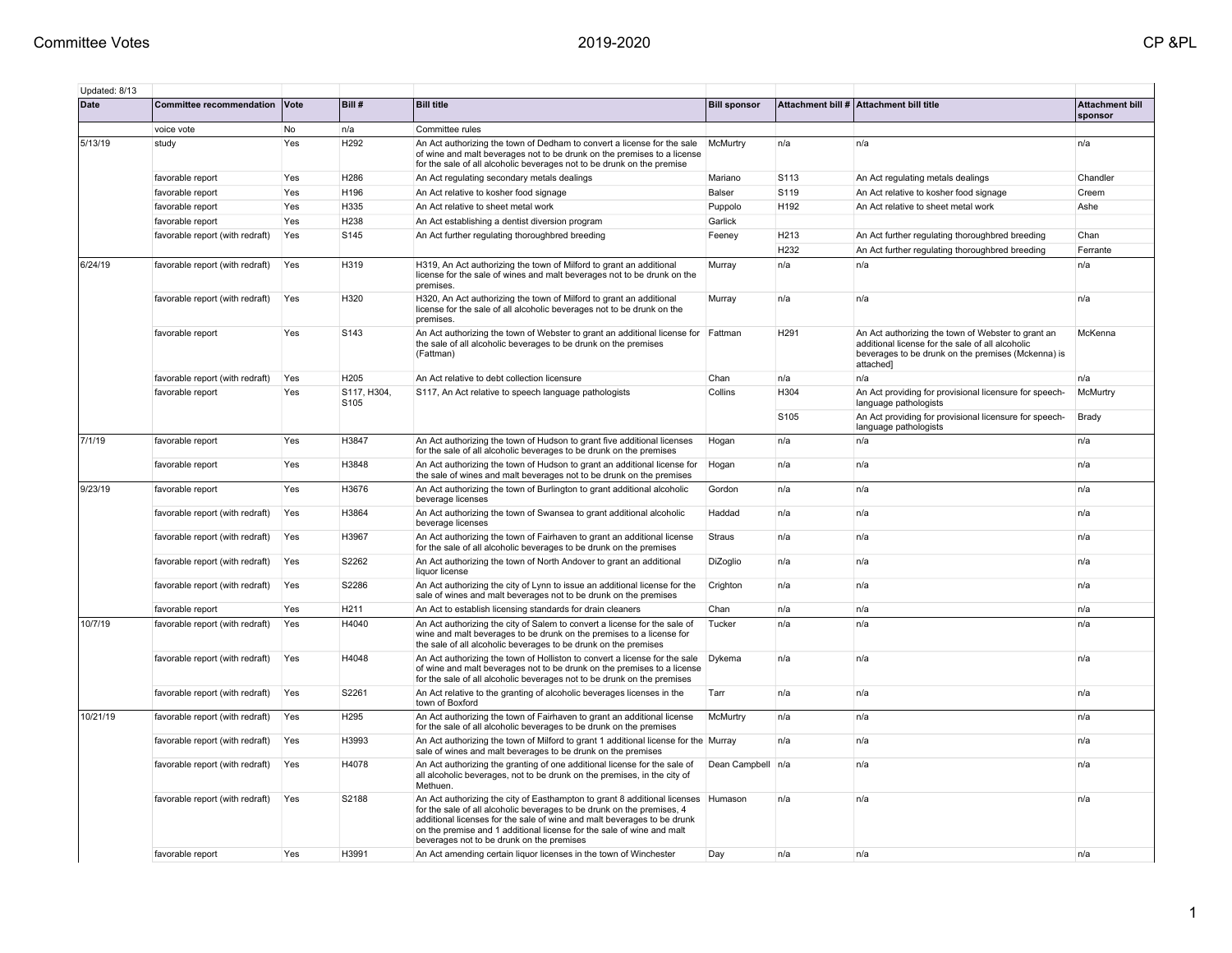| Updated: 8/13 |                                 |     |                                 |                                                                                                                                                                                                                                                                                                                                                                |                     |      |                                                                                                                                                                           |                                   |
|---------------|---------------------------------|-----|---------------------------------|----------------------------------------------------------------------------------------------------------------------------------------------------------------------------------------------------------------------------------------------------------------------------------------------------------------------------------------------------------------|---------------------|------|---------------------------------------------------------------------------------------------------------------------------------------------------------------------------|-----------------------------------|
| <b>Date</b>   | Committee recommendation Vote   |     | Bill #                          | <b>Bill title</b>                                                                                                                                                                                                                                                                                                                                              | <b>Bill sponsor</b> |      | Attachment bill # Attachment bill title                                                                                                                                   | <b>Attachment bill</b><br>sponsor |
|               | voice vote                      | No  | n/a                             | Committee rules                                                                                                                                                                                                                                                                                                                                                |                     |      |                                                                                                                                                                           |                                   |
| 5/13/19       | study                           | Yes | H <sub>292</sub>                | An Act authorizing the town of Dedham to convert a license for the sale<br>of wine and malt beverages not to be drunk on the premises to a license<br>for the sale of all alcoholic beverages not to be drunk on the premise                                                                                                                                   | McMurtry            | n/a  | n/a                                                                                                                                                                       | n/a                               |
|               | favorable report                | Yes | H286                            | An Act regulating secondary metals dealings                                                                                                                                                                                                                                                                                                                    | Mariano             | S113 | An Act regulating metals dealings                                                                                                                                         | Chandler                          |
|               | favorable report                | Yes | H196                            | An Act relative to kosher food signage                                                                                                                                                                                                                                                                                                                         | Balser              | S119 | An Act relative to kosher food signage                                                                                                                                    | Creem                             |
|               | favorable report                | Yes | H335                            | An Act relative to sheet metal work                                                                                                                                                                                                                                                                                                                            | Puppolo             | H192 | An Act relative to sheet metal work                                                                                                                                       | Ashe                              |
|               | favorable report                | Yes | H238                            | An Act establishing a dentist diversion program                                                                                                                                                                                                                                                                                                                | Garlick             |      |                                                                                                                                                                           |                                   |
|               | favorable report (with redraft) | Yes | S145                            | An Act further regulating thoroughbred breeding                                                                                                                                                                                                                                                                                                                | Feeney              | H213 | An Act further regulating thoroughbred breeding                                                                                                                           | Chan                              |
|               |                                 |     |                                 |                                                                                                                                                                                                                                                                                                                                                                |                     | H232 | An Act further regulating thoroughbred breeding                                                                                                                           | Ferrante                          |
| 6/24/19       | favorable report (with redraft) | Yes | H319                            | H319, An Act authorizing the town of Milford to grant an additional<br>license for the sale of wines and malt beverages not to be drunk on the<br>premises.                                                                                                                                                                                                    | Murray              | n/a  | n/a                                                                                                                                                                       | n/a                               |
|               | favorable report (with redraft) | Yes | H320                            | H320, An Act authorizing the town of Milford to grant an additional<br>license for the sale of all alcoholic beverages not to be drunk on the<br>premises.                                                                                                                                                                                                     | Murray              | n/a  | n/a                                                                                                                                                                       | n/a                               |
|               | favorable report                | Yes | S143                            | An Act authorizing the town of Webster to grant an additional license for Fattman<br>the sale of all alcoholic beverages to be drunk on the premises<br>(Fattman)                                                                                                                                                                                              |                     | H291 | An Act authorizing the town of Webster to grant an<br>additional license for the sale of all alcoholic<br>beverages to be drunk on the premises (Mckenna) is<br>attached] | McKenna                           |
|               | favorable report (with redraft) | Yes | H205                            | An Act relative to debt collection licensure                                                                                                                                                                                                                                                                                                                   | Chan                | n/a  | n/a                                                                                                                                                                       | n/a                               |
|               | favorable report                | Yes | S117, H304,<br>S <sub>105</sub> | S117, An Act relative to speech language pathologists                                                                                                                                                                                                                                                                                                          | Collins             | H304 | An Act providing for provisional licensure for speech-<br>language pathologists                                                                                           | McMurtry                          |
|               |                                 |     |                                 |                                                                                                                                                                                                                                                                                                                                                                |                     | S105 | An Act providing for provisional licensure for speech-<br>language pathologists                                                                                           | Brady                             |
| 7/1/19        | favorable report                | Yes | H3847                           | An Act authorizing the town of Hudson to grant five additional licenses<br>for the sale of all alcoholic beverages to be drunk on the premises                                                                                                                                                                                                                 | Hogan               | n/a  | n/a                                                                                                                                                                       | n/a                               |
|               | favorable report                | Yes | H3848                           | An Act authorizing the town of Hudson to grant an additional license for<br>the sale of wines and malt beverages not to be drunk on the premises                                                                                                                                                                                                               | Hogan               | n/a  | n/a                                                                                                                                                                       | n/a                               |
| 9/23/19       | favorable report                | Yes | H3676                           | An Act authorizing the town of Burlington to grant additional alcoholic<br>beverage licenses                                                                                                                                                                                                                                                                   | Gordon              | n/a  | n/a                                                                                                                                                                       | n/a                               |
|               | favorable report (with redraft) | Yes | H3864                           | An Act authorizing the town of Swansea to grant additional alcoholic<br>beverage licenses                                                                                                                                                                                                                                                                      | Haddad              | n/a  | n/a                                                                                                                                                                       | n/a                               |
|               | favorable report (with redraft) | Yes | H3967                           | An Act authorizing the town of Fairhaven to grant an additional license<br>for the sale of all alcoholic beverages to be drunk on the premises                                                                                                                                                                                                                 | Straus              | n/a  | n/a                                                                                                                                                                       | n/a                               |
|               | favorable report (with redraft) | Yes | S2262                           | An Act authorizing the town of North Andover to grant an additional<br>liquor license                                                                                                                                                                                                                                                                          | DiZoglio            | n/a  | n/a                                                                                                                                                                       | n/a                               |
|               | favorable report (with redraft) | Yes | S2286                           | An Act authorizing the city of Lynn to issue an additional license for the<br>sale of wines and malt beverages not to be drunk on the premises                                                                                                                                                                                                                 | Crighton            | n/a  | n/a                                                                                                                                                                       | n/a                               |
|               | favorable report                | Yes | H <sub>211</sub>                | An Act to establish licensing standards for drain cleaners                                                                                                                                                                                                                                                                                                     | Chan                | n/a  | n/a                                                                                                                                                                       | n/a                               |
| 10/7/19       | favorable report (with redraft) | Yes | H4040                           | An Act authorizing the city of Salem to convert a license for the sale of<br>wine and malt beverages to be drunk on the premises to a license for<br>the sale of all alcoholic beverages to be drunk on the premises                                                                                                                                           | Tucker              | n/a  | n/a                                                                                                                                                                       | n/a                               |
|               | favorable report (with redraft) | Yes | H4048                           | An Act authorizing the town of Holliston to convert a license for the sale<br>of wine and malt beverages not to be drunk on the premises to a license<br>for the sale of all alcoholic beverages not to be drunk on the premises                                                                                                                               | Dykema              | n/a  | n/a                                                                                                                                                                       | n/a                               |
|               | favorable report (with redraft) | Yes | S2261                           | An Act relative to the granting of alcoholic beverages licenses in the<br>town of Boxford                                                                                                                                                                                                                                                                      | Tarr                | n/a  | n/a                                                                                                                                                                       | n/a                               |
| 10/21/19      | favorable report (with redraft) | Yes | H295                            | An Act authorizing the town of Fairhaven to grant an additional license<br>for the sale of all alcoholic beverages to be drunk on the premises                                                                                                                                                                                                                 | McMurtry            | n/a  | n/a                                                                                                                                                                       | n/a                               |
|               | favorable report (with redraft) | Yes | H3993                           | An Act authorizing the town of Milford to grant 1 additional license for the Murray<br>sale of wines and malt beverages to be drunk on the premises                                                                                                                                                                                                            |                     | n/a  | n/a                                                                                                                                                                       | n/a                               |
|               | favorable report (with redraft) | Yes | H4078                           | An Act authorizing the granting of one additional license for the sale of<br>all alcoholic beverages, not to be drunk on the premises, in the city of<br>Methuen                                                                                                                                                                                               | Dean Campbell       | n/a  | n/a                                                                                                                                                                       | n/a                               |
|               | favorable report (with redraft) | Yes | S2188                           | An Act authorizing the city of Easthampton to grant 8 additional licenses   Humason<br>for the sale of all alcoholic beverages to be drunk on the premises, 4<br>additional licenses for the sale of wine and malt beverages to be drunk<br>on the premise and 1 additional license for the sale of wine and malt<br>beverages not to be drunk on the premises |                     | n/a  | n/a                                                                                                                                                                       | n/a                               |
|               | favorable report                | Yes | H3991                           | An Act amending certain liquor licenses in the town of Winchester                                                                                                                                                                                                                                                                                              | Day                 | n/a  | n/a                                                                                                                                                                       | n/a                               |

1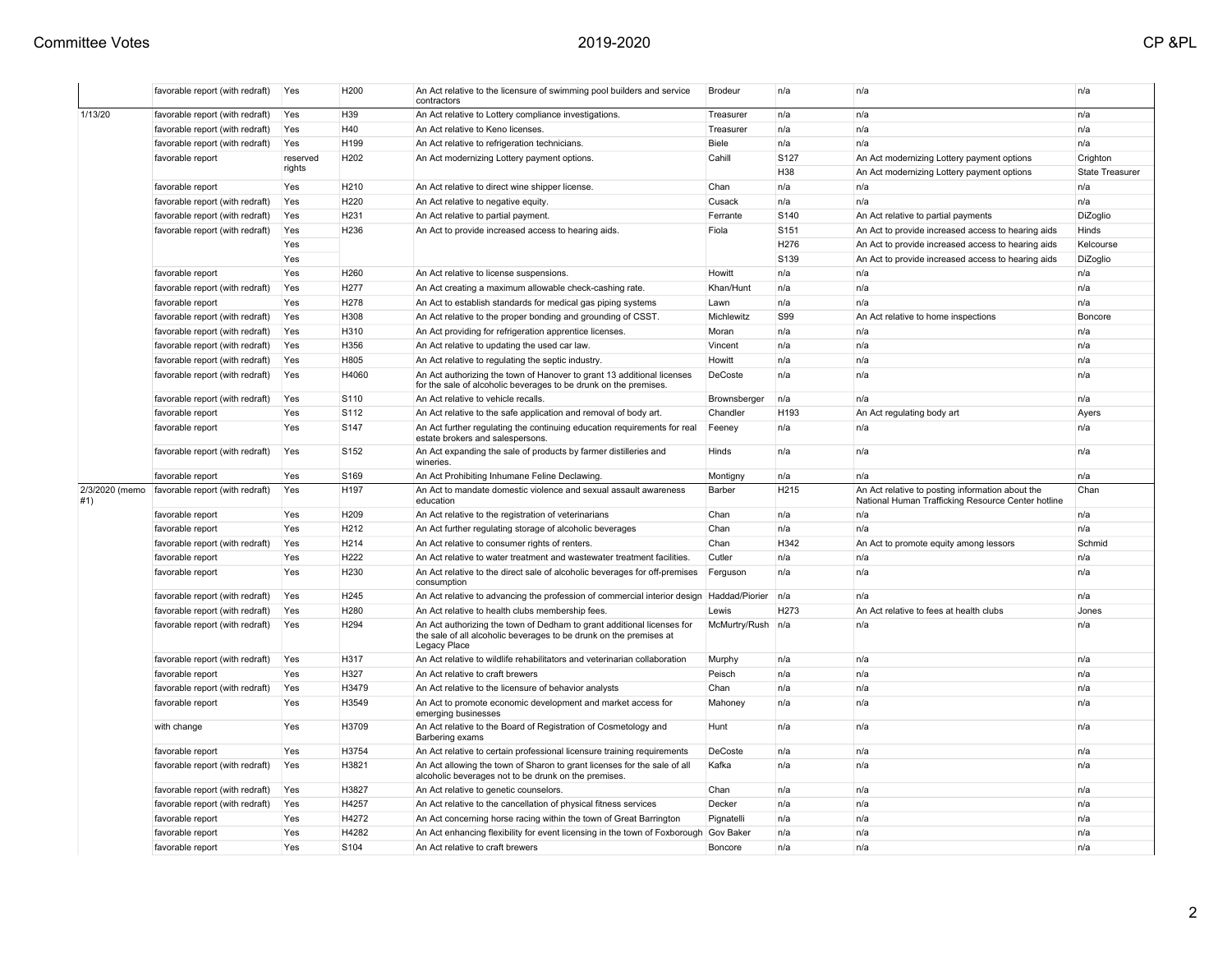| 1/13/20<br>favorable report (with redraft)<br>H39<br>Yes<br>An Act relative to Lottery compliance investigations.<br>Treasurer<br>n/a<br>n/a<br>n/a<br>H40<br>n/a<br>n/a<br>n/a<br>favorable report (with redraft)<br>Yes<br>An Act relative to Keno licenses.<br>Treasurer<br>H199<br>Biele<br>n/a<br>n/a<br>n/a<br>favorable report (with redraft)<br>Yes<br>An Act relative to refrigeration technicians.<br>S127<br>H <sub>202</sub><br>Cahill<br>Crighton<br>favorable report<br>reserved<br>An Act modernizing Lottery payment options.<br>An Act modernizing Lottery payment options<br>rights<br>H38<br><b>State Treasurer</b><br>An Act modernizing Lottery payment options<br>Yes<br>H <sub>210</sub><br>An Act relative to direct wine shipper license.<br>Chan<br>n/a<br>n/a<br>n/a<br>favorable report<br>H220<br>Cusack<br>n/a<br>n/a<br>favorable report (with redraft)<br>Yes<br>An Act relative to negative equity.<br>n/a<br>favorable report (with redraft)<br>Yes<br>H <sub>231</sub><br>An Act relative to partial payment.<br>Ferrante<br>S140<br>An Act relative to partial payments<br>DiZoglio<br>H236<br>S151<br>favorable report (with redraft)<br>An Act to provide increased access to hearing aids.<br>Fiola<br>An Act to provide increased access to hearing aids<br>Hinds<br>Yes<br>H276<br>Yes<br>An Act to provide increased access to hearing aids<br>Kelcourse<br>S <sub>139</sub><br>Yes<br>An Act to provide increased access to hearing aids<br>DiZoglio<br>Yes<br>H <sub>260</sub><br>Howitt<br>n/a<br>n/a<br>n/a<br>favorable report<br>An Act relative to license suspensions.<br>favorable report (with redraft)<br>Yes<br>H <sub>277</sub><br>An Act creating a maximum allowable check-cashing rate.<br>Khan/Hunt<br>n/a<br>n/a<br>n/a<br>H278<br>An Act to establish standards for medical gas piping systems<br>n/a<br>n/a<br>n/a<br>favorable report<br>Yes<br>Lawn<br><b>S99</b><br>H308<br>favorable report (with redraft)<br>Yes<br>An Act relative to the proper bonding and grounding of CSST.<br>Michlewitz<br>An Act relative to home inspections<br>Boncore<br>H310<br>n/a<br>n/a<br>favorable report (with redraft)<br>Yes<br>An Act providing for refrigeration apprentice licenses.<br>Moran<br>n/a<br>H356<br>n/a<br>n/a<br>favorable report (with redraft)<br>Yes<br>An Act relative to updating the used car law.<br>Vincent<br>n/a<br>H805<br>Howitt<br>n/a<br>n/a<br>favorable report (with redraft)<br>Yes<br>An Act relative to regulating the septic industry.<br>n/a<br>H4060<br>An Act authorizing the town of Hanover to grant 13 additional licenses<br>DeCoste<br>n/a<br>n/a<br>n/a<br>favorable report (with redraft)<br>Yes<br>for the sale of alcoholic beverages to be drunk on the premises.<br>S110<br>favorable report (with redraft)<br>An Act relative to vehicle recalls<br>n/a<br>n/a<br>Yes<br>Brownsberger<br>n/a<br>S112<br>H <sub>193</sub><br>favorable report<br>Yes<br>An Act relative to the safe application and removal of body art.<br>Chandler<br>An Act regulating body art<br>Ayers<br>S147<br>favorable report<br>Yes<br>An Act further regulating the continuing education requirements for real<br>Feeney<br>n/a<br>n/a<br>n/a<br>estate brokers and salespersons.<br>favorable report (with redraft)<br>S152<br>Yes<br>An Act expanding the sale of products by farmer distilleries and<br>Hinds<br>n/a<br>n/a<br>n/a<br>wineries.<br>Yes<br>S169<br>An Act Prohibiting Inhumane Feline Declawing<br>n/a<br>n/a<br>favorable report<br>Montigny<br>n/a<br>H197<br>H215<br>An Act relative to posting information about the<br>2/3/2020 (memo<br>favorable report (with redraft)<br>Yes<br>An Act to mandate domestic violence and sexual assault awareness<br>Barber<br>Chan<br>#1)<br>National Human Trafficking Resource Center hotline<br>education<br>H <sub>209</sub><br>favorable report<br>Yes<br>An Act relative to the registration of veterinarians<br>Chan<br>n/a<br>n/a<br>n/a<br>Chan<br>H <sub>2</sub> 12<br>n/a<br>n/a<br>n/a<br>favorable report<br>Yes<br>An Act further regulating storage of alcoholic beverages<br>H342<br>H <sub>214</sub><br>Chan<br>Schmid<br>favorable report (with redraft)<br>Yes<br>An Act relative to consumer rights of renters.<br>An Act to promote equity among lessors<br>H222<br>n/a<br>n/a<br>favorable report<br>Yes<br>An Act relative to water treatment and wastewater treatment facilities.<br>Cutler<br>n/a<br>H230<br>n/a<br>Yes<br>An Act relative to the direct sale of alcoholic beverages for off-premises<br>n/a<br>n/a<br>favorable report<br>Ferguson<br>consumption<br>H245<br>An Act relative to advancing the profession of commercial interior design   Haddad/Piorier<br>favorable report (with redraft)<br>Yes<br>n/a<br>n/a<br>n/a<br>H280<br>H273<br>favorable report (with redraft)<br>Yes<br>An Act relative to health clubs membership fees.<br>Lewis<br>An Act relative to fees at health clubs<br>Jones<br>H <sub>294</sub><br>favorable report (with redraft)<br>Yes<br>An Act authorizing the town of Dedham to grant additional licenses for<br>McMurtry/Rush<br>n/a<br>n/a<br>n/a<br>the sale of all alcoholic beverages to be drunk on the premises at<br>Legacy Place<br>H317<br>An Act relative to wildlife rehabilitators and veterinarian collaboration<br>favorable report (with redraft)<br>Yes<br>Murphy<br>n/a<br>n/a<br>n/a<br>H327<br>Peisch<br>n/a<br>An Act relative to craft brewers<br>n/a<br>n/a<br>favorable report<br>Yes<br>H3479<br>Chan<br>n/a<br>n/a<br>favorable report (with redraft)<br>Yes<br>An Act relative to the licensure of behavior analysts<br>n/a<br>H3549<br>An Act to promote economic development and market access for<br>n/a<br>favorable report<br>Yes<br>Mahoney<br>n/a<br>n/a<br>emerging businesses<br>Yes<br>H3709<br>An Act relative to the Board of Registration of Cosmetology and<br>Hunt<br>n/a<br>n/a<br>n/a<br>with change<br>Barbering exams<br>H3754<br>DeCoste<br>Yes<br>An Act relative to certain professional licensure training requirements<br>n/a<br>n/a<br>n/a<br>favorable report<br>favorable report (with redraft)<br>H3821<br>An Act allowing the town of Sharon to grant licenses for the sale of all<br>Kafka<br>n/a<br>n/a<br>n/a<br>Yes<br>alcoholic beverages not to be drunk on the premises.<br>favorable report (with redraft)<br>H3827<br>Chan<br>n/a<br>n/a<br>Yes<br>An Act relative to genetic counselors.<br>n/a<br>H4257<br>favorable report (with redraft)<br>Yes<br>An Act relative to the cancellation of physical fitness services<br>Decker<br>n/a<br>n/a<br>n/a<br>Yes<br>H4272<br>An Act concerning horse racing within the town of Great Barrington<br>n/a<br>n/a<br>n/a<br>favorable report<br>Pignatelli<br>H4282<br>favorable report<br>Yes<br>An Act enhancing flexibility for event licensing in the town of Foxborough<br><b>Gov Baker</b><br>n/a<br>n/a<br>n/a<br>Yes<br>S104<br>An Act relative to craft brewers<br>Boncore<br>n/a<br>n/a<br>favorable report<br>n/a |  | favorable report (with redraft) | Yes | H <sub>200</sub> | An Act relative to the licensure of swimming pool builders and service<br>contractors | Brodeur | n/a | n/a | n/a |
|-------------------------------------------------------------------------------------------------------------------------------------------------------------------------------------------------------------------------------------------------------------------------------------------------------------------------------------------------------------------------------------------------------------------------------------------------------------------------------------------------------------------------------------------------------------------------------------------------------------------------------------------------------------------------------------------------------------------------------------------------------------------------------------------------------------------------------------------------------------------------------------------------------------------------------------------------------------------------------------------------------------------------------------------------------------------------------------------------------------------------------------------------------------------------------------------------------------------------------------------------------------------------------------------------------------------------------------------------------------------------------------------------------------------------------------------------------------------------------------------------------------------------------------------------------------------------------------------------------------------------------------------------------------------------------------------------------------------------------------------------------------------------------------------------------------------------------------------------------------------------------------------------------------------------------------------------------------------------------------------------------------------------------------------------------------------------------------------------------------------------------------------------------------------------------------------------------------------------------------------------------------------------------------------------------------------------------------------------------------------------------------------------------------------------------------------------------------------------------------------------------------------------------------------------------------------------------------------------------------------------------------------------------------------------------------------------------------------------------------------------------------------------------------------------------------------------------------------------------------------------------------------------------------------------------------------------------------------------------------------------------------------------------------------------------------------------------------------------------------------------------------------------------------------------------------------------------------------------------------------------------------------------------------------------------------------------------------------------------------------------------------------------------------------------------------------------------------------------------------------------------------------------------------------------------------------------------------------------------------------------------------------------------------------------------------------------------------------------------------------------------------------------------------------------------------------------------------------------------------------------------------------------------------------------------------------------------------------------------------------------------------------------------------------------------------------------------------------------------------------------------------------------------------------------------------------------------------------------------------------------------------------------------------------------------------------------------------------------------------------------------------------------------------------------------------------------------------------------------------------------------------------------------------------------------------------------------------------------------------------------------------------------------------------------------------------------------------------------------------------------------------------------------------------------------------------------------------------------------------------------------------------------------------------------------------------------------------------------------------------------------------------------------------------------------------------------------------------------------------------------------------------------------------------------------------------------------------------------------------------------------------------------------------------------------------------------------------------------------------------------------------------------------------------------------------------------------------------------------------------------------------------------------------------------------------------------------------------------------------------------------------------------------------------------------------------------------------------------------------------------------------------------------------------------------------------------------------------------------------------------------------------------------------------------------------------------------------------------------------------------------------------------------------------------------------------------------------------------------------------------------------------------------------------------------------------------------------------------------------------------------------------------------------------------------------------------------------------------------------------------------------------------------------------------------------------------------------------------------------------------------------------------------------------------------------------------------------------------------------------------------------------------------------------------------------------------------------------------------------------------------------------------------------------------------------------------------------------------------------------------------------------------------------------------------------------------------------------------------------------------------------------------------------------------------------|--|---------------------------------|-----|------------------|---------------------------------------------------------------------------------------|---------|-----|-----|-----|
|                                                                                                                                                                                                                                                                                                                                                                                                                                                                                                                                                                                                                                                                                                                                                                                                                                                                                                                                                                                                                                                                                                                                                                                                                                                                                                                                                                                                                                                                                                                                                                                                                                                                                                                                                                                                                                                                                                                                                                                                                                                                                                                                                                                                                                                                                                                                                                                                                                                                                                                                                                                                                                                                                                                                                                                                                                                                                                                                                                                                                                                                                                                                                                                                                                                                                                                                                                                                                                                                                                                                                                                                                                                                                                                                                                                                                                                                                                                                                                                                                                                                                                                                                                                                                                                                                                                                                                                                                                                                                                                                                                                                                                                                                                                                                                                                                                                                                                                                                                                                                                                                                                                                                                                                                                                                                                                                                                                                                                                                                                                                                                                                                                                                                                                                                                                                                                                                                                                                                                                                                                                                                                                                                                                                                                                                                                                                                                                                                                                                                                                                                                                                                                                                                                                                                                                                                                                                                                                                                                                                                                                             |  |                                 |     |                  |                                                                                       |         |     |     |     |
|                                                                                                                                                                                                                                                                                                                                                                                                                                                                                                                                                                                                                                                                                                                                                                                                                                                                                                                                                                                                                                                                                                                                                                                                                                                                                                                                                                                                                                                                                                                                                                                                                                                                                                                                                                                                                                                                                                                                                                                                                                                                                                                                                                                                                                                                                                                                                                                                                                                                                                                                                                                                                                                                                                                                                                                                                                                                                                                                                                                                                                                                                                                                                                                                                                                                                                                                                                                                                                                                                                                                                                                                                                                                                                                                                                                                                                                                                                                                                                                                                                                                                                                                                                                                                                                                                                                                                                                                                                                                                                                                                                                                                                                                                                                                                                                                                                                                                                                                                                                                                                                                                                                                                                                                                                                                                                                                                                                                                                                                                                                                                                                                                                                                                                                                                                                                                                                                                                                                                                                                                                                                                                                                                                                                                                                                                                                                                                                                                                                                                                                                                                                                                                                                                                                                                                                                                                                                                                                                                                                                                                                             |  |                                 |     |                  |                                                                                       |         |     |     |     |
|                                                                                                                                                                                                                                                                                                                                                                                                                                                                                                                                                                                                                                                                                                                                                                                                                                                                                                                                                                                                                                                                                                                                                                                                                                                                                                                                                                                                                                                                                                                                                                                                                                                                                                                                                                                                                                                                                                                                                                                                                                                                                                                                                                                                                                                                                                                                                                                                                                                                                                                                                                                                                                                                                                                                                                                                                                                                                                                                                                                                                                                                                                                                                                                                                                                                                                                                                                                                                                                                                                                                                                                                                                                                                                                                                                                                                                                                                                                                                                                                                                                                                                                                                                                                                                                                                                                                                                                                                                                                                                                                                                                                                                                                                                                                                                                                                                                                                                                                                                                                                                                                                                                                                                                                                                                                                                                                                                                                                                                                                                                                                                                                                                                                                                                                                                                                                                                                                                                                                                                                                                                                                                                                                                                                                                                                                                                                                                                                                                                                                                                                                                                                                                                                                                                                                                                                                                                                                                                                                                                                                                                             |  |                                 |     |                  |                                                                                       |         |     |     |     |
|                                                                                                                                                                                                                                                                                                                                                                                                                                                                                                                                                                                                                                                                                                                                                                                                                                                                                                                                                                                                                                                                                                                                                                                                                                                                                                                                                                                                                                                                                                                                                                                                                                                                                                                                                                                                                                                                                                                                                                                                                                                                                                                                                                                                                                                                                                                                                                                                                                                                                                                                                                                                                                                                                                                                                                                                                                                                                                                                                                                                                                                                                                                                                                                                                                                                                                                                                                                                                                                                                                                                                                                                                                                                                                                                                                                                                                                                                                                                                                                                                                                                                                                                                                                                                                                                                                                                                                                                                                                                                                                                                                                                                                                                                                                                                                                                                                                                                                                                                                                                                                                                                                                                                                                                                                                                                                                                                                                                                                                                                                                                                                                                                                                                                                                                                                                                                                                                                                                                                                                                                                                                                                                                                                                                                                                                                                                                                                                                                                                                                                                                                                                                                                                                                                                                                                                                                                                                                                                                                                                                                                                             |  |                                 |     |                  |                                                                                       |         |     |     |     |
|                                                                                                                                                                                                                                                                                                                                                                                                                                                                                                                                                                                                                                                                                                                                                                                                                                                                                                                                                                                                                                                                                                                                                                                                                                                                                                                                                                                                                                                                                                                                                                                                                                                                                                                                                                                                                                                                                                                                                                                                                                                                                                                                                                                                                                                                                                                                                                                                                                                                                                                                                                                                                                                                                                                                                                                                                                                                                                                                                                                                                                                                                                                                                                                                                                                                                                                                                                                                                                                                                                                                                                                                                                                                                                                                                                                                                                                                                                                                                                                                                                                                                                                                                                                                                                                                                                                                                                                                                                                                                                                                                                                                                                                                                                                                                                                                                                                                                                                                                                                                                                                                                                                                                                                                                                                                                                                                                                                                                                                                                                                                                                                                                                                                                                                                                                                                                                                                                                                                                                                                                                                                                                                                                                                                                                                                                                                                                                                                                                                                                                                                                                                                                                                                                                                                                                                                                                                                                                                                                                                                                                                             |  |                                 |     |                  |                                                                                       |         |     |     |     |
|                                                                                                                                                                                                                                                                                                                                                                                                                                                                                                                                                                                                                                                                                                                                                                                                                                                                                                                                                                                                                                                                                                                                                                                                                                                                                                                                                                                                                                                                                                                                                                                                                                                                                                                                                                                                                                                                                                                                                                                                                                                                                                                                                                                                                                                                                                                                                                                                                                                                                                                                                                                                                                                                                                                                                                                                                                                                                                                                                                                                                                                                                                                                                                                                                                                                                                                                                                                                                                                                                                                                                                                                                                                                                                                                                                                                                                                                                                                                                                                                                                                                                                                                                                                                                                                                                                                                                                                                                                                                                                                                                                                                                                                                                                                                                                                                                                                                                                                                                                                                                                                                                                                                                                                                                                                                                                                                                                                                                                                                                                                                                                                                                                                                                                                                                                                                                                                                                                                                                                                                                                                                                                                                                                                                                                                                                                                                                                                                                                                                                                                                                                                                                                                                                                                                                                                                                                                                                                                                                                                                                                                             |  |                                 |     |                  |                                                                                       |         |     |     |     |
|                                                                                                                                                                                                                                                                                                                                                                                                                                                                                                                                                                                                                                                                                                                                                                                                                                                                                                                                                                                                                                                                                                                                                                                                                                                                                                                                                                                                                                                                                                                                                                                                                                                                                                                                                                                                                                                                                                                                                                                                                                                                                                                                                                                                                                                                                                                                                                                                                                                                                                                                                                                                                                                                                                                                                                                                                                                                                                                                                                                                                                                                                                                                                                                                                                                                                                                                                                                                                                                                                                                                                                                                                                                                                                                                                                                                                                                                                                                                                                                                                                                                                                                                                                                                                                                                                                                                                                                                                                                                                                                                                                                                                                                                                                                                                                                                                                                                                                                                                                                                                                                                                                                                                                                                                                                                                                                                                                                                                                                                                                                                                                                                                                                                                                                                                                                                                                                                                                                                                                                                                                                                                                                                                                                                                                                                                                                                                                                                                                                                                                                                                                                                                                                                                                                                                                                                                                                                                                                                                                                                                                                             |  |                                 |     |                  |                                                                                       |         |     |     |     |
|                                                                                                                                                                                                                                                                                                                                                                                                                                                                                                                                                                                                                                                                                                                                                                                                                                                                                                                                                                                                                                                                                                                                                                                                                                                                                                                                                                                                                                                                                                                                                                                                                                                                                                                                                                                                                                                                                                                                                                                                                                                                                                                                                                                                                                                                                                                                                                                                                                                                                                                                                                                                                                                                                                                                                                                                                                                                                                                                                                                                                                                                                                                                                                                                                                                                                                                                                                                                                                                                                                                                                                                                                                                                                                                                                                                                                                                                                                                                                                                                                                                                                                                                                                                                                                                                                                                                                                                                                                                                                                                                                                                                                                                                                                                                                                                                                                                                                                                                                                                                                                                                                                                                                                                                                                                                                                                                                                                                                                                                                                                                                                                                                                                                                                                                                                                                                                                                                                                                                                                                                                                                                                                                                                                                                                                                                                                                                                                                                                                                                                                                                                                                                                                                                                                                                                                                                                                                                                                                                                                                                                                             |  |                                 |     |                  |                                                                                       |         |     |     |     |
|                                                                                                                                                                                                                                                                                                                                                                                                                                                                                                                                                                                                                                                                                                                                                                                                                                                                                                                                                                                                                                                                                                                                                                                                                                                                                                                                                                                                                                                                                                                                                                                                                                                                                                                                                                                                                                                                                                                                                                                                                                                                                                                                                                                                                                                                                                                                                                                                                                                                                                                                                                                                                                                                                                                                                                                                                                                                                                                                                                                                                                                                                                                                                                                                                                                                                                                                                                                                                                                                                                                                                                                                                                                                                                                                                                                                                                                                                                                                                                                                                                                                                                                                                                                                                                                                                                                                                                                                                                                                                                                                                                                                                                                                                                                                                                                                                                                                                                                                                                                                                                                                                                                                                                                                                                                                                                                                                                                                                                                                                                                                                                                                                                                                                                                                                                                                                                                                                                                                                                                                                                                                                                                                                                                                                                                                                                                                                                                                                                                                                                                                                                                                                                                                                                                                                                                                                                                                                                                                                                                                                                                             |  |                                 |     |                  |                                                                                       |         |     |     |     |
|                                                                                                                                                                                                                                                                                                                                                                                                                                                                                                                                                                                                                                                                                                                                                                                                                                                                                                                                                                                                                                                                                                                                                                                                                                                                                                                                                                                                                                                                                                                                                                                                                                                                                                                                                                                                                                                                                                                                                                                                                                                                                                                                                                                                                                                                                                                                                                                                                                                                                                                                                                                                                                                                                                                                                                                                                                                                                                                                                                                                                                                                                                                                                                                                                                                                                                                                                                                                                                                                                                                                                                                                                                                                                                                                                                                                                                                                                                                                                                                                                                                                                                                                                                                                                                                                                                                                                                                                                                                                                                                                                                                                                                                                                                                                                                                                                                                                                                                                                                                                                                                                                                                                                                                                                                                                                                                                                                                                                                                                                                                                                                                                                                                                                                                                                                                                                                                                                                                                                                                                                                                                                                                                                                                                                                                                                                                                                                                                                                                                                                                                                                                                                                                                                                                                                                                                                                                                                                                                                                                                                                                             |  |                                 |     |                  |                                                                                       |         |     |     |     |
|                                                                                                                                                                                                                                                                                                                                                                                                                                                                                                                                                                                                                                                                                                                                                                                                                                                                                                                                                                                                                                                                                                                                                                                                                                                                                                                                                                                                                                                                                                                                                                                                                                                                                                                                                                                                                                                                                                                                                                                                                                                                                                                                                                                                                                                                                                                                                                                                                                                                                                                                                                                                                                                                                                                                                                                                                                                                                                                                                                                                                                                                                                                                                                                                                                                                                                                                                                                                                                                                                                                                                                                                                                                                                                                                                                                                                                                                                                                                                                                                                                                                                                                                                                                                                                                                                                                                                                                                                                                                                                                                                                                                                                                                                                                                                                                                                                                                                                                                                                                                                                                                                                                                                                                                                                                                                                                                                                                                                                                                                                                                                                                                                                                                                                                                                                                                                                                                                                                                                                                                                                                                                                                                                                                                                                                                                                                                                                                                                                                                                                                                                                                                                                                                                                                                                                                                                                                                                                                                                                                                                                                             |  |                                 |     |                  |                                                                                       |         |     |     |     |
|                                                                                                                                                                                                                                                                                                                                                                                                                                                                                                                                                                                                                                                                                                                                                                                                                                                                                                                                                                                                                                                                                                                                                                                                                                                                                                                                                                                                                                                                                                                                                                                                                                                                                                                                                                                                                                                                                                                                                                                                                                                                                                                                                                                                                                                                                                                                                                                                                                                                                                                                                                                                                                                                                                                                                                                                                                                                                                                                                                                                                                                                                                                                                                                                                                                                                                                                                                                                                                                                                                                                                                                                                                                                                                                                                                                                                                                                                                                                                                                                                                                                                                                                                                                                                                                                                                                                                                                                                                                                                                                                                                                                                                                                                                                                                                                                                                                                                                                                                                                                                                                                                                                                                                                                                                                                                                                                                                                                                                                                                                                                                                                                                                                                                                                                                                                                                                                                                                                                                                                                                                                                                                                                                                                                                                                                                                                                                                                                                                                                                                                                                                                                                                                                                                                                                                                                                                                                                                                                                                                                                                                             |  |                                 |     |                  |                                                                                       |         |     |     |     |
|                                                                                                                                                                                                                                                                                                                                                                                                                                                                                                                                                                                                                                                                                                                                                                                                                                                                                                                                                                                                                                                                                                                                                                                                                                                                                                                                                                                                                                                                                                                                                                                                                                                                                                                                                                                                                                                                                                                                                                                                                                                                                                                                                                                                                                                                                                                                                                                                                                                                                                                                                                                                                                                                                                                                                                                                                                                                                                                                                                                                                                                                                                                                                                                                                                                                                                                                                                                                                                                                                                                                                                                                                                                                                                                                                                                                                                                                                                                                                                                                                                                                                                                                                                                                                                                                                                                                                                                                                                                                                                                                                                                                                                                                                                                                                                                                                                                                                                                                                                                                                                                                                                                                                                                                                                                                                                                                                                                                                                                                                                                                                                                                                                                                                                                                                                                                                                                                                                                                                                                                                                                                                                                                                                                                                                                                                                                                                                                                                                                                                                                                                                                                                                                                                                                                                                                                                                                                                                                                                                                                                                                             |  |                                 |     |                  |                                                                                       |         |     |     |     |
|                                                                                                                                                                                                                                                                                                                                                                                                                                                                                                                                                                                                                                                                                                                                                                                                                                                                                                                                                                                                                                                                                                                                                                                                                                                                                                                                                                                                                                                                                                                                                                                                                                                                                                                                                                                                                                                                                                                                                                                                                                                                                                                                                                                                                                                                                                                                                                                                                                                                                                                                                                                                                                                                                                                                                                                                                                                                                                                                                                                                                                                                                                                                                                                                                                                                                                                                                                                                                                                                                                                                                                                                                                                                                                                                                                                                                                                                                                                                                                                                                                                                                                                                                                                                                                                                                                                                                                                                                                                                                                                                                                                                                                                                                                                                                                                                                                                                                                                                                                                                                                                                                                                                                                                                                                                                                                                                                                                                                                                                                                                                                                                                                                                                                                                                                                                                                                                                                                                                                                                                                                                                                                                                                                                                                                                                                                                                                                                                                                                                                                                                                                                                                                                                                                                                                                                                                                                                                                                                                                                                                                                             |  |                                 |     |                  |                                                                                       |         |     |     |     |
|                                                                                                                                                                                                                                                                                                                                                                                                                                                                                                                                                                                                                                                                                                                                                                                                                                                                                                                                                                                                                                                                                                                                                                                                                                                                                                                                                                                                                                                                                                                                                                                                                                                                                                                                                                                                                                                                                                                                                                                                                                                                                                                                                                                                                                                                                                                                                                                                                                                                                                                                                                                                                                                                                                                                                                                                                                                                                                                                                                                                                                                                                                                                                                                                                                                                                                                                                                                                                                                                                                                                                                                                                                                                                                                                                                                                                                                                                                                                                                                                                                                                                                                                                                                                                                                                                                                                                                                                                                                                                                                                                                                                                                                                                                                                                                                                                                                                                                                                                                                                                                                                                                                                                                                                                                                                                                                                                                                                                                                                                                                                                                                                                                                                                                                                                                                                                                                                                                                                                                                                                                                                                                                                                                                                                                                                                                                                                                                                                                                                                                                                                                                                                                                                                                                                                                                                                                                                                                                                                                                                                                                             |  |                                 |     |                  |                                                                                       |         |     |     |     |
|                                                                                                                                                                                                                                                                                                                                                                                                                                                                                                                                                                                                                                                                                                                                                                                                                                                                                                                                                                                                                                                                                                                                                                                                                                                                                                                                                                                                                                                                                                                                                                                                                                                                                                                                                                                                                                                                                                                                                                                                                                                                                                                                                                                                                                                                                                                                                                                                                                                                                                                                                                                                                                                                                                                                                                                                                                                                                                                                                                                                                                                                                                                                                                                                                                                                                                                                                                                                                                                                                                                                                                                                                                                                                                                                                                                                                                                                                                                                                                                                                                                                                                                                                                                                                                                                                                                                                                                                                                                                                                                                                                                                                                                                                                                                                                                                                                                                                                                                                                                                                                                                                                                                                                                                                                                                                                                                                                                                                                                                                                                                                                                                                                                                                                                                                                                                                                                                                                                                                                                                                                                                                                                                                                                                                                                                                                                                                                                                                                                                                                                                                                                                                                                                                                                                                                                                                                                                                                                                                                                                                                                             |  |                                 |     |                  |                                                                                       |         |     |     |     |
|                                                                                                                                                                                                                                                                                                                                                                                                                                                                                                                                                                                                                                                                                                                                                                                                                                                                                                                                                                                                                                                                                                                                                                                                                                                                                                                                                                                                                                                                                                                                                                                                                                                                                                                                                                                                                                                                                                                                                                                                                                                                                                                                                                                                                                                                                                                                                                                                                                                                                                                                                                                                                                                                                                                                                                                                                                                                                                                                                                                                                                                                                                                                                                                                                                                                                                                                                                                                                                                                                                                                                                                                                                                                                                                                                                                                                                                                                                                                                                                                                                                                                                                                                                                                                                                                                                                                                                                                                                                                                                                                                                                                                                                                                                                                                                                                                                                                                                                                                                                                                                                                                                                                                                                                                                                                                                                                                                                                                                                                                                                                                                                                                                                                                                                                                                                                                                                                                                                                                                                                                                                                                                                                                                                                                                                                                                                                                                                                                                                                                                                                                                                                                                                                                                                                                                                                                                                                                                                                                                                                                                                             |  |                                 |     |                  |                                                                                       |         |     |     |     |
|                                                                                                                                                                                                                                                                                                                                                                                                                                                                                                                                                                                                                                                                                                                                                                                                                                                                                                                                                                                                                                                                                                                                                                                                                                                                                                                                                                                                                                                                                                                                                                                                                                                                                                                                                                                                                                                                                                                                                                                                                                                                                                                                                                                                                                                                                                                                                                                                                                                                                                                                                                                                                                                                                                                                                                                                                                                                                                                                                                                                                                                                                                                                                                                                                                                                                                                                                                                                                                                                                                                                                                                                                                                                                                                                                                                                                                                                                                                                                                                                                                                                                                                                                                                                                                                                                                                                                                                                                                                                                                                                                                                                                                                                                                                                                                                                                                                                                                                                                                                                                                                                                                                                                                                                                                                                                                                                                                                                                                                                                                                                                                                                                                                                                                                                                                                                                                                                                                                                                                                                                                                                                                                                                                                                                                                                                                                                                                                                                                                                                                                                                                                                                                                                                                                                                                                                                                                                                                                                                                                                                                                             |  |                                 |     |                  |                                                                                       |         |     |     |     |
|                                                                                                                                                                                                                                                                                                                                                                                                                                                                                                                                                                                                                                                                                                                                                                                                                                                                                                                                                                                                                                                                                                                                                                                                                                                                                                                                                                                                                                                                                                                                                                                                                                                                                                                                                                                                                                                                                                                                                                                                                                                                                                                                                                                                                                                                                                                                                                                                                                                                                                                                                                                                                                                                                                                                                                                                                                                                                                                                                                                                                                                                                                                                                                                                                                                                                                                                                                                                                                                                                                                                                                                                                                                                                                                                                                                                                                                                                                                                                                                                                                                                                                                                                                                                                                                                                                                                                                                                                                                                                                                                                                                                                                                                                                                                                                                                                                                                                                                                                                                                                                                                                                                                                                                                                                                                                                                                                                                                                                                                                                                                                                                                                                                                                                                                                                                                                                                                                                                                                                                                                                                                                                                                                                                                                                                                                                                                                                                                                                                                                                                                                                                                                                                                                                                                                                                                                                                                                                                                                                                                                                                             |  |                                 |     |                  |                                                                                       |         |     |     |     |
|                                                                                                                                                                                                                                                                                                                                                                                                                                                                                                                                                                                                                                                                                                                                                                                                                                                                                                                                                                                                                                                                                                                                                                                                                                                                                                                                                                                                                                                                                                                                                                                                                                                                                                                                                                                                                                                                                                                                                                                                                                                                                                                                                                                                                                                                                                                                                                                                                                                                                                                                                                                                                                                                                                                                                                                                                                                                                                                                                                                                                                                                                                                                                                                                                                                                                                                                                                                                                                                                                                                                                                                                                                                                                                                                                                                                                                                                                                                                                                                                                                                                                                                                                                                                                                                                                                                                                                                                                                                                                                                                                                                                                                                                                                                                                                                                                                                                                                                                                                                                                                                                                                                                                                                                                                                                                                                                                                                                                                                                                                                                                                                                                                                                                                                                                                                                                                                                                                                                                                                                                                                                                                                                                                                                                                                                                                                                                                                                                                                                                                                                                                                                                                                                                                                                                                                                                                                                                                                                                                                                                                                             |  |                                 |     |                  |                                                                                       |         |     |     |     |
|                                                                                                                                                                                                                                                                                                                                                                                                                                                                                                                                                                                                                                                                                                                                                                                                                                                                                                                                                                                                                                                                                                                                                                                                                                                                                                                                                                                                                                                                                                                                                                                                                                                                                                                                                                                                                                                                                                                                                                                                                                                                                                                                                                                                                                                                                                                                                                                                                                                                                                                                                                                                                                                                                                                                                                                                                                                                                                                                                                                                                                                                                                                                                                                                                                                                                                                                                                                                                                                                                                                                                                                                                                                                                                                                                                                                                                                                                                                                                                                                                                                                                                                                                                                                                                                                                                                                                                                                                                                                                                                                                                                                                                                                                                                                                                                                                                                                                                                                                                                                                                                                                                                                                                                                                                                                                                                                                                                                                                                                                                                                                                                                                                                                                                                                                                                                                                                                                                                                                                                                                                                                                                                                                                                                                                                                                                                                                                                                                                                                                                                                                                                                                                                                                                                                                                                                                                                                                                                                                                                                                                                             |  |                                 |     |                  |                                                                                       |         |     |     |     |
|                                                                                                                                                                                                                                                                                                                                                                                                                                                                                                                                                                                                                                                                                                                                                                                                                                                                                                                                                                                                                                                                                                                                                                                                                                                                                                                                                                                                                                                                                                                                                                                                                                                                                                                                                                                                                                                                                                                                                                                                                                                                                                                                                                                                                                                                                                                                                                                                                                                                                                                                                                                                                                                                                                                                                                                                                                                                                                                                                                                                                                                                                                                                                                                                                                                                                                                                                                                                                                                                                                                                                                                                                                                                                                                                                                                                                                                                                                                                                                                                                                                                                                                                                                                                                                                                                                                                                                                                                                                                                                                                                                                                                                                                                                                                                                                                                                                                                                                                                                                                                                                                                                                                                                                                                                                                                                                                                                                                                                                                                                                                                                                                                                                                                                                                                                                                                                                                                                                                                                                                                                                                                                                                                                                                                                                                                                                                                                                                                                                                                                                                                                                                                                                                                                                                                                                                                                                                                                                                                                                                                                                             |  |                                 |     |                  |                                                                                       |         |     |     |     |
|                                                                                                                                                                                                                                                                                                                                                                                                                                                                                                                                                                                                                                                                                                                                                                                                                                                                                                                                                                                                                                                                                                                                                                                                                                                                                                                                                                                                                                                                                                                                                                                                                                                                                                                                                                                                                                                                                                                                                                                                                                                                                                                                                                                                                                                                                                                                                                                                                                                                                                                                                                                                                                                                                                                                                                                                                                                                                                                                                                                                                                                                                                                                                                                                                                                                                                                                                                                                                                                                                                                                                                                                                                                                                                                                                                                                                                                                                                                                                                                                                                                                                                                                                                                                                                                                                                                                                                                                                                                                                                                                                                                                                                                                                                                                                                                                                                                                                                                                                                                                                                                                                                                                                                                                                                                                                                                                                                                                                                                                                                                                                                                                                                                                                                                                                                                                                                                                                                                                                                                                                                                                                                                                                                                                                                                                                                                                                                                                                                                                                                                                                                                                                                                                                                                                                                                                                                                                                                                                                                                                                                                             |  |                                 |     |                  |                                                                                       |         |     |     |     |
|                                                                                                                                                                                                                                                                                                                                                                                                                                                                                                                                                                                                                                                                                                                                                                                                                                                                                                                                                                                                                                                                                                                                                                                                                                                                                                                                                                                                                                                                                                                                                                                                                                                                                                                                                                                                                                                                                                                                                                                                                                                                                                                                                                                                                                                                                                                                                                                                                                                                                                                                                                                                                                                                                                                                                                                                                                                                                                                                                                                                                                                                                                                                                                                                                                                                                                                                                                                                                                                                                                                                                                                                                                                                                                                                                                                                                                                                                                                                                                                                                                                                                                                                                                                                                                                                                                                                                                                                                                                                                                                                                                                                                                                                                                                                                                                                                                                                                                                                                                                                                                                                                                                                                                                                                                                                                                                                                                                                                                                                                                                                                                                                                                                                                                                                                                                                                                                                                                                                                                                                                                                                                                                                                                                                                                                                                                                                                                                                                                                                                                                                                                                                                                                                                                                                                                                                                                                                                                                                                                                                                                                             |  |                                 |     |                  |                                                                                       |         |     |     |     |
|                                                                                                                                                                                                                                                                                                                                                                                                                                                                                                                                                                                                                                                                                                                                                                                                                                                                                                                                                                                                                                                                                                                                                                                                                                                                                                                                                                                                                                                                                                                                                                                                                                                                                                                                                                                                                                                                                                                                                                                                                                                                                                                                                                                                                                                                                                                                                                                                                                                                                                                                                                                                                                                                                                                                                                                                                                                                                                                                                                                                                                                                                                                                                                                                                                                                                                                                                                                                                                                                                                                                                                                                                                                                                                                                                                                                                                                                                                                                                                                                                                                                                                                                                                                                                                                                                                                                                                                                                                                                                                                                                                                                                                                                                                                                                                                                                                                                                                                                                                                                                                                                                                                                                                                                                                                                                                                                                                                                                                                                                                                                                                                                                                                                                                                                                                                                                                                                                                                                                                                                                                                                                                                                                                                                                                                                                                                                                                                                                                                                                                                                                                                                                                                                                                                                                                                                                                                                                                                                                                                                                                                             |  |                                 |     |                  |                                                                                       |         |     |     |     |
|                                                                                                                                                                                                                                                                                                                                                                                                                                                                                                                                                                                                                                                                                                                                                                                                                                                                                                                                                                                                                                                                                                                                                                                                                                                                                                                                                                                                                                                                                                                                                                                                                                                                                                                                                                                                                                                                                                                                                                                                                                                                                                                                                                                                                                                                                                                                                                                                                                                                                                                                                                                                                                                                                                                                                                                                                                                                                                                                                                                                                                                                                                                                                                                                                                                                                                                                                                                                                                                                                                                                                                                                                                                                                                                                                                                                                                                                                                                                                                                                                                                                                                                                                                                                                                                                                                                                                                                                                                                                                                                                                                                                                                                                                                                                                                                                                                                                                                                                                                                                                                                                                                                                                                                                                                                                                                                                                                                                                                                                                                                                                                                                                                                                                                                                                                                                                                                                                                                                                                                                                                                                                                                                                                                                                                                                                                                                                                                                                                                                                                                                                                                                                                                                                                                                                                                                                                                                                                                                                                                                                                                             |  |                                 |     |                  |                                                                                       |         |     |     |     |
|                                                                                                                                                                                                                                                                                                                                                                                                                                                                                                                                                                                                                                                                                                                                                                                                                                                                                                                                                                                                                                                                                                                                                                                                                                                                                                                                                                                                                                                                                                                                                                                                                                                                                                                                                                                                                                                                                                                                                                                                                                                                                                                                                                                                                                                                                                                                                                                                                                                                                                                                                                                                                                                                                                                                                                                                                                                                                                                                                                                                                                                                                                                                                                                                                                                                                                                                                                                                                                                                                                                                                                                                                                                                                                                                                                                                                                                                                                                                                                                                                                                                                                                                                                                                                                                                                                                                                                                                                                                                                                                                                                                                                                                                                                                                                                                                                                                                                                                                                                                                                                                                                                                                                                                                                                                                                                                                                                                                                                                                                                                                                                                                                                                                                                                                                                                                                                                                                                                                                                                                                                                                                                                                                                                                                                                                                                                                                                                                                                                                                                                                                                                                                                                                                                                                                                                                                                                                                                                                                                                                                                                             |  |                                 |     |                  |                                                                                       |         |     |     |     |
|                                                                                                                                                                                                                                                                                                                                                                                                                                                                                                                                                                                                                                                                                                                                                                                                                                                                                                                                                                                                                                                                                                                                                                                                                                                                                                                                                                                                                                                                                                                                                                                                                                                                                                                                                                                                                                                                                                                                                                                                                                                                                                                                                                                                                                                                                                                                                                                                                                                                                                                                                                                                                                                                                                                                                                                                                                                                                                                                                                                                                                                                                                                                                                                                                                                                                                                                                                                                                                                                                                                                                                                                                                                                                                                                                                                                                                                                                                                                                                                                                                                                                                                                                                                                                                                                                                                                                                                                                                                                                                                                                                                                                                                                                                                                                                                                                                                                                                                                                                                                                                                                                                                                                                                                                                                                                                                                                                                                                                                                                                                                                                                                                                                                                                                                                                                                                                                                                                                                                                                                                                                                                                                                                                                                                                                                                                                                                                                                                                                                                                                                                                                                                                                                                                                                                                                                                                                                                                                                                                                                                                                             |  |                                 |     |                  |                                                                                       |         |     |     |     |
|                                                                                                                                                                                                                                                                                                                                                                                                                                                                                                                                                                                                                                                                                                                                                                                                                                                                                                                                                                                                                                                                                                                                                                                                                                                                                                                                                                                                                                                                                                                                                                                                                                                                                                                                                                                                                                                                                                                                                                                                                                                                                                                                                                                                                                                                                                                                                                                                                                                                                                                                                                                                                                                                                                                                                                                                                                                                                                                                                                                                                                                                                                                                                                                                                                                                                                                                                                                                                                                                                                                                                                                                                                                                                                                                                                                                                                                                                                                                                                                                                                                                                                                                                                                                                                                                                                                                                                                                                                                                                                                                                                                                                                                                                                                                                                                                                                                                                                                                                                                                                                                                                                                                                                                                                                                                                                                                                                                                                                                                                                                                                                                                                                                                                                                                                                                                                                                                                                                                                                                                                                                                                                                                                                                                                                                                                                                                                                                                                                                                                                                                                                                                                                                                                                                                                                                                                                                                                                                                                                                                                                                             |  |                                 |     |                  |                                                                                       |         |     |     |     |
|                                                                                                                                                                                                                                                                                                                                                                                                                                                                                                                                                                                                                                                                                                                                                                                                                                                                                                                                                                                                                                                                                                                                                                                                                                                                                                                                                                                                                                                                                                                                                                                                                                                                                                                                                                                                                                                                                                                                                                                                                                                                                                                                                                                                                                                                                                                                                                                                                                                                                                                                                                                                                                                                                                                                                                                                                                                                                                                                                                                                                                                                                                                                                                                                                                                                                                                                                                                                                                                                                                                                                                                                                                                                                                                                                                                                                                                                                                                                                                                                                                                                                                                                                                                                                                                                                                                                                                                                                                                                                                                                                                                                                                                                                                                                                                                                                                                                                                                                                                                                                                                                                                                                                                                                                                                                                                                                                                                                                                                                                                                                                                                                                                                                                                                                                                                                                                                                                                                                                                                                                                                                                                                                                                                                                                                                                                                                                                                                                                                                                                                                                                                                                                                                                                                                                                                                                                                                                                                                                                                                                                                             |  |                                 |     |                  |                                                                                       |         |     |     |     |
|                                                                                                                                                                                                                                                                                                                                                                                                                                                                                                                                                                                                                                                                                                                                                                                                                                                                                                                                                                                                                                                                                                                                                                                                                                                                                                                                                                                                                                                                                                                                                                                                                                                                                                                                                                                                                                                                                                                                                                                                                                                                                                                                                                                                                                                                                                                                                                                                                                                                                                                                                                                                                                                                                                                                                                                                                                                                                                                                                                                                                                                                                                                                                                                                                                                                                                                                                                                                                                                                                                                                                                                                                                                                                                                                                                                                                                                                                                                                                                                                                                                                                                                                                                                                                                                                                                                                                                                                                                                                                                                                                                                                                                                                                                                                                                                                                                                                                                                                                                                                                                                                                                                                                                                                                                                                                                                                                                                                                                                                                                                                                                                                                                                                                                                                                                                                                                                                                                                                                                                                                                                                                                                                                                                                                                                                                                                                                                                                                                                                                                                                                                                                                                                                                                                                                                                                                                                                                                                                                                                                                                                             |  |                                 |     |                  |                                                                                       |         |     |     |     |
|                                                                                                                                                                                                                                                                                                                                                                                                                                                                                                                                                                                                                                                                                                                                                                                                                                                                                                                                                                                                                                                                                                                                                                                                                                                                                                                                                                                                                                                                                                                                                                                                                                                                                                                                                                                                                                                                                                                                                                                                                                                                                                                                                                                                                                                                                                                                                                                                                                                                                                                                                                                                                                                                                                                                                                                                                                                                                                                                                                                                                                                                                                                                                                                                                                                                                                                                                                                                                                                                                                                                                                                                                                                                                                                                                                                                                                                                                                                                                                                                                                                                                                                                                                                                                                                                                                                                                                                                                                                                                                                                                                                                                                                                                                                                                                                                                                                                                                                                                                                                                                                                                                                                                                                                                                                                                                                                                                                                                                                                                                                                                                                                                                                                                                                                                                                                                                                                                                                                                                                                                                                                                                                                                                                                                                                                                                                                                                                                                                                                                                                                                                                                                                                                                                                                                                                                                                                                                                                                                                                                                                                             |  |                                 |     |                  |                                                                                       |         |     |     |     |
|                                                                                                                                                                                                                                                                                                                                                                                                                                                                                                                                                                                                                                                                                                                                                                                                                                                                                                                                                                                                                                                                                                                                                                                                                                                                                                                                                                                                                                                                                                                                                                                                                                                                                                                                                                                                                                                                                                                                                                                                                                                                                                                                                                                                                                                                                                                                                                                                                                                                                                                                                                                                                                                                                                                                                                                                                                                                                                                                                                                                                                                                                                                                                                                                                                                                                                                                                                                                                                                                                                                                                                                                                                                                                                                                                                                                                                                                                                                                                                                                                                                                                                                                                                                                                                                                                                                                                                                                                                                                                                                                                                                                                                                                                                                                                                                                                                                                                                                                                                                                                                                                                                                                                                                                                                                                                                                                                                                                                                                                                                                                                                                                                                                                                                                                                                                                                                                                                                                                                                                                                                                                                                                                                                                                                                                                                                                                                                                                                                                                                                                                                                                                                                                                                                                                                                                                                                                                                                                                                                                                                                                             |  |                                 |     |                  |                                                                                       |         |     |     |     |
|                                                                                                                                                                                                                                                                                                                                                                                                                                                                                                                                                                                                                                                                                                                                                                                                                                                                                                                                                                                                                                                                                                                                                                                                                                                                                                                                                                                                                                                                                                                                                                                                                                                                                                                                                                                                                                                                                                                                                                                                                                                                                                                                                                                                                                                                                                                                                                                                                                                                                                                                                                                                                                                                                                                                                                                                                                                                                                                                                                                                                                                                                                                                                                                                                                                                                                                                                                                                                                                                                                                                                                                                                                                                                                                                                                                                                                                                                                                                                                                                                                                                                                                                                                                                                                                                                                                                                                                                                                                                                                                                                                                                                                                                                                                                                                                                                                                                                                                                                                                                                                                                                                                                                                                                                                                                                                                                                                                                                                                                                                                                                                                                                                                                                                                                                                                                                                                                                                                                                                                                                                                                                                                                                                                                                                                                                                                                                                                                                                                                                                                                                                                                                                                                                                                                                                                                                                                                                                                                                                                                                                                             |  |                                 |     |                  |                                                                                       |         |     |     |     |
|                                                                                                                                                                                                                                                                                                                                                                                                                                                                                                                                                                                                                                                                                                                                                                                                                                                                                                                                                                                                                                                                                                                                                                                                                                                                                                                                                                                                                                                                                                                                                                                                                                                                                                                                                                                                                                                                                                                                                                                                                                                                                                                                                                                                                                                                                                                                                                                                                                                                                                                                                                                                                                                                                                                                                                                                                                                                                                                                                                                                                                                                                                                                                                                                                                                                                                                                                                                                                                                                                                                                                                                                                                                                                                                                                                                                                                                                                                                                                                                                                                                                                                                                                                                                                                                                                                                                                                                                                                                                                                                                                                                                                                                                                                                                                                                                                                                                                                                                                                                                                                                                                                                                                                                                                                                                                                                                                                                                                                                                                                                                                                                                                                                                                                                                                                                                                                                                                                                                                                                                                                                                                                                                                                                                                                                                                                                                                                                                                                                                                                                                                                                                                                                                                                                                                                                                                                                                                                                                                                                                                                                             |  |                                 |     |                  |                                                                                       |         |     |     |     |
|                                                                                                                                                                                                                                                                                                                                                                                                                                                                                                                                                                                                                                                                                                                                                                                                                                                                                                                                                                                                                                                                                                                                                                                                                                                                                                                                                                                                                                                                                                                                                                                                                                                                                                                                                                                                                                                                                                                                                                                                                                                                                                                                                                                                                                                                                                                                                                                                                                                                                                                                                                                                                                                                                                                                                                                                                                                                                                                                                                                                                                                                                                                                                                                                                                                                                                                                                                                                                                                                                                                                                                                                                                                                                                                                                                                                                                                                                                                                                                                                                                                                                                                                                                                                                                                                                                                                                                                                                                                                                                                                                                                                                                                                                                                                                                                                                                                                                                                                                                                                                                                                                                                                                                                                                                                                                                                                                                                                                                                                                                                                                                                                                                                                                                                                                                                                                                                                                                                                                                                                                                                                                                                                                                                                                                                                                                                                                                                                                                                                                                                                                                                                                                                                                                                                                                                                                                                                                                                                                                                                                                                             |  |                                 |     |                  |                                                                                       |         |     |     |     |
|                                                                                                                                                                                                                                                                                                                                                                                                                                                                                                                                                                                                                                                                                                                                                                                                                                                                                                                                                                                                                                                                                                                                                                                                                                                                                                                                                                                                                                                                                                                                                                                                                                                                                                                                                                                                                                                                                                                                                                                                                                                                                                                                                                                                                                                                                                                                                                                                                                                                                                                                                                                                                                                                                                                                                                                                                                                                                                                                                                                                                                                                                                                                                                                                                                                                                                                                                                                                                                                                                                                                                                                                                                                                                                                                                                                                                                                                                                                                                                                                                                                                                                                                                                                                                                                                                                                                                                                                                                                                                                                                                                                                                                                                                                                                                                                                                                                                                                                                                                                                                                                                                                                                                                                                                                                                                                                                                                                                                                                                                                                                                                                                                                                                                                                                                                                                                                                                                                                                                                                                                                                                                                                                                                                                                                                                                                                                                                                                                                                                                                                                                                                                                                                                                                                                                                                                                                                                                                                                                                                                                                                             |  |                                 |     |                  |                                                                                       |         |     |     |     |
|                                                                                                                                                                                                                                                                                                                                                                                                                                                                                                                                                                                                                                                                                                                                                                                                                                                                                                                                                                                                                                                                                                                                                                                                                                                                                                                                                                                                                                                                                                                                                                                                                                                                                                                                                                                                                                                                                                                                                                                                                                                                                                                                                                                                                                                                                                                                                                                                                                                                                                                                                                                                                                                                                                                                                                                                                                                                                                                                                                                                                                                                                                                                                                                                                                                                                                                                                                                                                                                                                                                                                                                                                                                                                                                                                                                                                                                                                                                                                                                                                                                                                                                                                                                                                                                                                                                                                                                                                                                                                                                                                                                                                                                                                                                                                                                                                                                                                                                                                                                                                                                                                                                                                                                                                                                                                                                                                                                                                                                                                                                                                                                                                                                                                                                                                                                                                                                                                                                                                                                                                                                                                                                                                                                                                                                                                                                                                                                                                                                                                                                                                                                                                                                                                                                                                                                                                                                                                                                                                                                                                                                             |  |                                 |     |                  |                                                                                       |         |     |     |     |
|                                                                                                                                                                                                                                                                                                                                                                                                                                                                                                                                                                                                                                                                                                                                                                                                                                                                                                                                                                                                                                                                                                                                                                                                                                                                                                                                                                                                                                                                                                                                                                                                                                                                                                                                                                                                                                                                                                                                                                                                                                                                                                                                                                                                                                                                                                                                                                                                                                                                                                                                                                                                                                                                                                                                                                                                                                                                                                                                                                                                                                                                                                                                                                                                                                                                                                                                                                                                                                                                                                                                                                                                                                                                                                                                                                                                                                                                                                                                                                                                                                                                                                                                                                                                                                                                                                                                                                                                                                                                                                                                                                                                                                                                                                                                                                                                                                                                                                                                                                                                                                                                                                                                                                                                                                                                                                                                                                                                                                                                                                                                                                                                                                                                                                                                                                                                                                                                                                                                                                                                                                                                                                                                                                                                                                                                                                                                                                                                                                                                                                                                                                                                                                                                                                                                                                                                                                                                                                                                                                                                                                                             |  |                                 |     |                  |                                                                                       |         |     |     |     |
|                                                                                                                                                                                                                                                                                                                                                                                                                                                                                                                                                                                                                                                                                                                                                                                                                                                                                                                                                                                                                                                                                                                                                                                                                                                                                                                                                                                                                                                                                                                                                                                                                                                                                                                                                                                                                                                                                                                                                                                                                                                                                                                                                                                                                                                                                                                                                                                                                                                                                                                                                                                                                                                                                                                                                                                                                                                                                                                                                                                                                                                                                                                                                                                                                                                                                                                                                                                                                                                                                                                                                                                                                                                                                                                                                                                                                                                                                                                                                                                                                                                                                                                                                                                                                                                                                                                                                                                                                                                                                                                                                                                                                                                                                                                                                                                                                                                                                                                                                                                                                                                                                                                                                                                                                                                                                                                                                                                                                                                                                                                                                                                                                                                                                                                                                                                                                                                                                                                                                                                                                                                                                                                                                                                                                                                                                                                                                                                                                                                                                                                                                                                                                                                                                                                                                                                                                                                                                                                                                                                                                                                             |  |                                 |     |                  |                                                                                       |         |     |     |     |
|                                                                                                                                                                                                                                                                                                                                                                                                                                                                                                                                                                                                                                                                                                                                                                                                                                                                                                                                                                                                                                                                                                                                                                                                                                                                                                                                                                                                                                                                                                                                                                                                                                                                                                                                                                                                                                                                                                                                                                                                                                                                                                                                                                                                                                                                                                                                                                                                                                                                                                                                                                                                                                                                                                                                                                                                                                                                                                                                                                                                                                                                                                                                                                                                                                                                                                                                                                                                                                                                                                                                                                                                                                                                                                                                                                                                                                                                                                                                                                                                                                                                                                                                                                                                                                                                                                                                                                                                                                                                                                                                                                                                                                                                                                                                                                                                                                                                                                                                                                                                                                                                                                                                                                                                                                                                                                                                                                                                                                                                                                                                                                                                                                                                                                                                                                                                                                                                                                                                                                                                                                                                                                                                                                                                                                                                                                                                                                                                                                                                                                                                                                                                                                                                                                                                                                                                                                                                                                                                                                                                                                                             |  |                                 |     |                  |                                                                                       |         |     |     |     |
|                                                                                                                                                                                                                                                                                                                                                                                                                                                                                                                                                                                                                                                                                                                                                                                                                                                                                                                                                                                                                                                                                                                                                                                                                                                                                                                                                                                                                                                                                                                                                                                                                                                                                                                                                                                                                                                                                                                                                                                                                                                                                                                                                                                                                                                                                                                                                                                                                                                                                                                                                                                                                                                                                                                                                                                                                                                                                                                                                                                                                                                                                                                                                                                                                                                                                                                                                                                                                                                                                                                                                                                                                                                                                                                                                                                                                                                                                                                                                                                                                                                                                                                                                                                                                                                                                                                                                                                                                                                                                                                                                                                                                                                                                                                                                                                                                                                                                                                                                                                                                                                                                                                                                                                                                                                                                                                                                                                                                                                                                                                                                                                                                                                                                                                                                                                                                                                                                                                                                                                                                                                                                                                                                                                                                                                                                                                                                                                                                                                                                                                                                                                                                                                                                                                                                                                                                                                                                                                                                                                                                                                             |  |                                 |     |                  |                                                                                       |         |     |     |     |
|                                                                                                                                                                                                                                                                                                                                                                                                                                                                                                                                                                                                                                                                                                                                                                                                                                                                                                                                                                                                                                                                                                                                                                                                                                                                                                                                                                                                                                                                                                                                                                                                                                                                                                                                                                                                                                                                                                                                                                                                                                                                                                                                                                                                                                                                                                                                                                                                                                                                                                                                                                                                                                                                                                                                                                                                                                                                                                                                                                                                                                                                                                                                                                                                                                                                                                                                                                                                                                                                                                                                                                                                                                                                                                                                                                                                                                                                                                                                                                                                                                                                                                                                                                                                                                                                                                                                                                                                                                                                                                                                                                                                                                                                                                                                                                                                                                                                                                                                                                                                                                                                                                                                                                                                                                                                                                                                                                                                                                                                                                                                                                                                                                                                                                                                                                                                                                                                                                                                                                                                                                                                                                                                                                                                                                                                                                                                                                                                                                                                                                                                                                                                                                                                                                                                                                                                                                                                                                                                                                                                                                                             |  |                                 |     |                  |                                                                                       |         |     |     |     |
|                                                                                                                                                                                                                                                                                                                                                                                                                                                                                                                                                                                                                                                                                                                                                                                                                                                                                                                                                                                                                                                                                                                                                                                                                                                                                                                                                                                                                                                                                                                                                                                                                                                                                                                                                                                                                                                                                                                                                                                                                                                                                                                                                                                                                                                                                                                                                                                                                                                                                                                                                                                                                                                                                                                                                                                                                                                                                                                                                                                                                                                                                                                                                                                                                                                                                                                                                                                                                                                                                                                                                                                                                                                                                                                                                                                                                                                                                                                                                                                                                                                                                                                                                                                                                                                                                                                                                                                                                                                                                                                                                                                                                                                                                                                                                                                                                                                                                                                                                                                                                                                                                                                                                                                                                                                                                                                                                                                                                                                                                                                                                                                                                                                                                                                                                                                                                                                                                                                                                                                                                                                                                                                                                                                                                                                                                                                                                                                                                                                                                                                                                                                                                                                                                                                                                                                                                                                                                                                                                                                                                                                             |  |                                 |     |                  |                                                                                       |         |     |     |     |
|                                                                                                                                                                                                                                                                                                                                                                                                                                                                                                                                                                                                                                                                                                                                                                                                                                                                                                                                                                                                                                                                                                                                                                                                                                                                                                                                                                                                                                                                                                                                                                                                                                                                                                                                                                                                                                                                                                                                                                                                                                                                                                                                                                                                                                                                                                                                                                                                                                                                                                                                                                                                                                                                                                                                                                                                                                                                                                                                                                                                                                                                                                                                                                                                                                                                                                                                                                                                                                                                                                                                                                                                                                                                                                                                                                                                                                                                                                                                                                                                                                                                                                                                                                                                                                                                                                                                                                                                                                                                                                                                                                                                                                                                                                                                                                                                                                                                                                                                                                                                                                                                                                                                                                                                                                                                                                                                                                                                                                                                                                                                                                                                                                                                                                                                                                                                                                                                                                                                                                                                                                                                                                                                                                                                                                                                                                                                                                                                                                                                                                                                                                                                                                                                                                                                                                                                                                                                                                                                                                                                                                                             |  |                                 |     |                  |                                                                                       |         |     |     |     |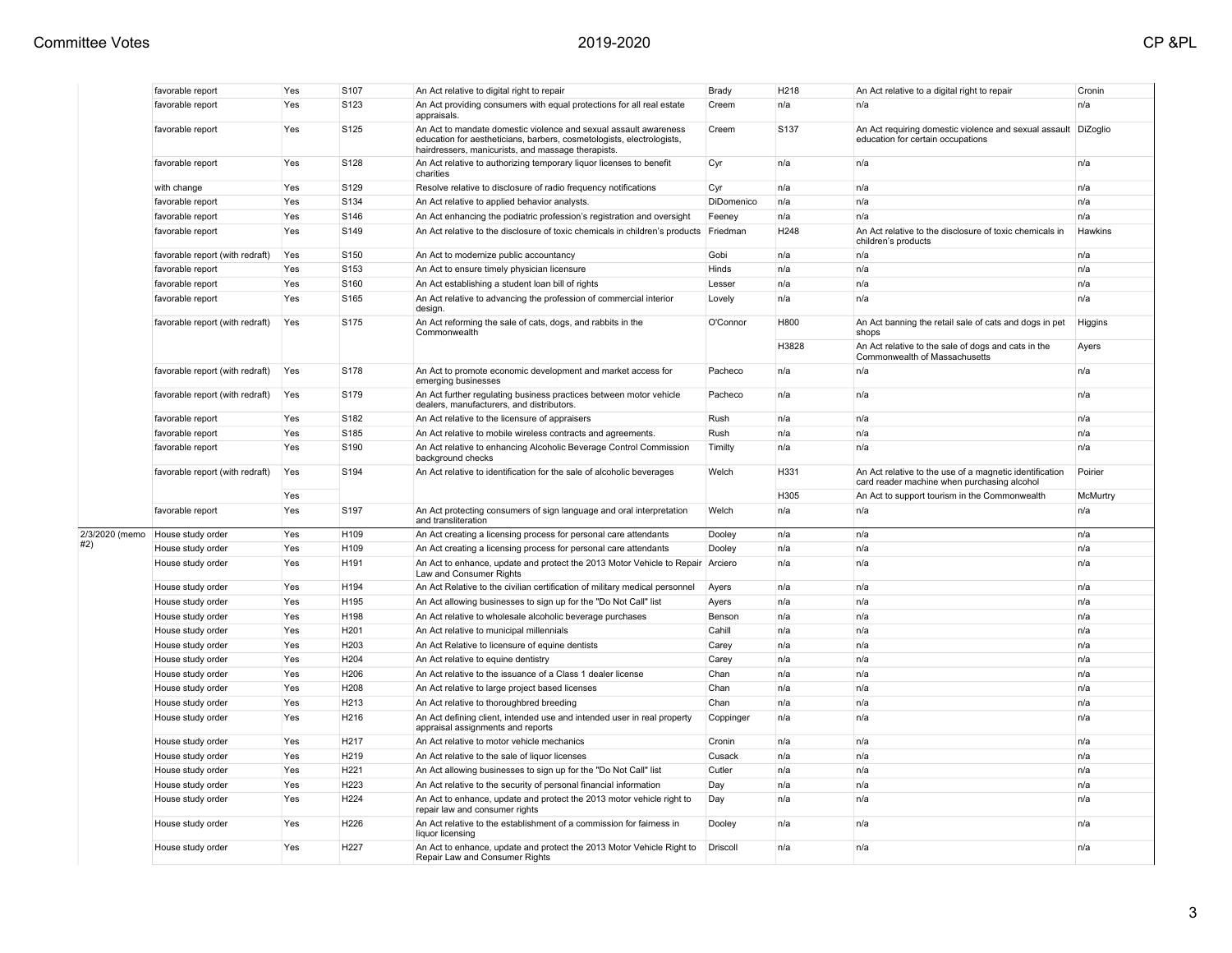|                | favorable report                | Yes | S107             | An Act relative to digital right to repair                                                                                                                                                      | Brady      | H218             | An Act relative to a digital right to repair                                                           | Cronin   |
|----------------|---------------------------------|-----|------------------|-------------------------------------------------------------------------------------------------------------------------------------------------------------------------------------------------|------------|------------------|--------------------------------------------------------------------------------------------------------|----------|
|                | favorable report                | Yes | S123             | An Act providing consumers with equal protections for all real estate<br>appraisals.                                                                                                            | Creem      | n/a              | n/a                                                                                                    | n/a      |
|                | favorable report                | Yes | S125             | An Act to mandate domestic violence and sexual assault awareness<br>education for aestheticians, barbers, cosmetologists, electrologists,<br>hairdressers, manicurists, and massage therapists. | Creem      | S <sub>137</sub> | An Act requiring domestic violence and sexual assault<br>education for certain occupations             | DiZoglio |
|                | favorable report                | Yes | S128             | An Act relative to authorizing temporary liquor licenses to benefit<br>charities                                                                                                                | Cyr        | n/a              | n/a                                                                                                    | n/a      |
|                | with change                     | Yes | S129             | Resolve relative to disclosure of radio frequency notifications                                                                                                                                 | Cyr        | n/a              | n/a                                                                                                    | n/a      |
|                | favorable report                | Yes | S134             | An Act relative to applied behavior analysts.                                                                                                                                                   | DiDomenico | n/a              | n/a                                                                                                    | n/a      |
|                | favorable report                | Yes | S146             | An Act enhancing the podiatric profession's registration and oversight                                                                                                                          | Feeney     | n/a              | n/a                                                                                                    | n/a      |
|                | favorable report                | Yes | S149             | An Act relative to the disclosure of toxic chemicals in children's products                                                                                                                     | Friedman   | H248             | An Act relative to the disclosure of toxic chemicals in<br>children's products                         | Hawkins  |
|                | favorable report (with redraft) | Yes | S150             | An Act to modernize public accountancy                                                                                                                                                          | Gobi       | n/a              | n/a                                                                                                    | n/a      |
|                | favorable report                | Yes | S153             | An Act to ensure timely physician licensure                                                                                                                                                     | Hinds      | n/a              | n/a                                                                                                    | n/a      |
|                | favorable report                | Yes | S160             | An Act establishing a student loan bill of rights                                                                                                                                               | Lesser     | n/a              | n/a                                                                                                    | n/a      |
|                | favorable report                | Yes | S165             | An Act relative to advancing the profession of commercial interior<br>design                                                                                                                    | Lovely     | n/a              | n/a                                                                                                    | n/a      |
|                | favorable report (with redraft) | Yes | S175             | An Act reforming the sale of cats, dogs, and rabbits in the<br>Commonwealth                                                                                                                     | O'Connor   | H800             | An Act banning the retail sale of cats and dogs in pet<br>shops                                        | Higgins  |
|                |                                 |     |                  |                                                                                                                                                                                                 |            | H3828            | An Act relative to the sale of dogs and cats in the<br>Commonwealth of Massachusetts                   | Ayers    |
|                | favorable report (with redraft) | Yes | S178             | An Act to promote economic development and market access for<br>emerging businesses                                                                                                             | Pacheco    | n/a              | n/a                                                                                                    | n/a      |
|                | favorable report (with redraft) | Yes | S179             | An Act further regulating business practices between motor vehicle<br>dealers, manufacturers, and distributors.                                                                                 | Pacheco    | n/a              | n/a                                                                                                    | n/a      |
|                | favorable report                | Yes | S182             | An Act relative to the licensure of appraisers                                                                                                                                                  | Rush       | n/a              | n/a                                                                                                    | n/a      |
|                | favorable report                | Yes | S185             | An Act relative to mobile wireless contracts and agreements.                                                                                                                                    | Rush       | n/a              | n/a                                                                                                    | n/a      |
|                | favorable report                | Yes | S190             | An Act relative to enhancing Alcoholic Beverage Control Commission<br>background checks                                                                                                         | Timilty    | n/a              | n/a                                                                                                    | n/a      |
|                | favorable report (with redraft) | Yes | S194             | An Act relative to identification for the sale of alcoholic beverages                                                                                                                           | Welch      | H331             | An Act relative to the use of a magnetic identification<br>card reader machine when purchasing alcohol | Poirier  |
|                |                                 | Yes |                  |                                                                                                                                                                                                 |            | H305             | An Act to support tourism in the Commonwealth                                                          | McMurtry |
|                | favorable report                | Yes | S <sub>197</sub> | An Act protecting consumers of sign language and oral interpretation<br>and transliteration                                                                                                     | Welch      | n/a              | n/a                                                                                                    | n/a      |
| 2/3/2020 (memo | House study order               | Yes | H109             | An Act creating a licensing process for personal care attendants                                                                                                                                | Dooley     | n/a              | n/a                                                                                                    | n/a      |
|                | House study order               | Yes | H109             | An Act creating a licensing process for personal care attendants                                                                                                                                | Dooley     | n/a              | n/a                                                                                                    | n/a      |
|                | House study order               | Yes | H191             | An Act to enhance, update and protect the 2013 Motor Vehicle to Repair<br>Law and Consumer Rights                                                                                               | Arciero    | n/a              | n/a                                                                                                    | n/a      |
|                | House study order               | Yes | H194             | An Act Relative to the civilian certification of military medical personnel                                                                                                                     | Ayers      | n/a              | n/a                                                                                                    | n/a      |
|                | House study order               | Yes | H195             | An Act allowing businesses to sign up for the "Do Not Call" list                                                                                                                                | Ayers      | n/a              | n/a                                                                                                    | n/a      |
|                | House study order               | Yes | H198             | An Act relative to wholesale alcoholic beverage purchases                                                                                                                                       | Benson     | n/a              | n/a                                                                                                    | n/a      |
|                | House study order               | Yes | H201             | An Act relative to municipal millennials                                                                                                                                                        | Cahill     | n/a              | n/a                                                                                                    | n/a      |
|                | House study order               | Yes | H203             | An Act Relative to licensure of equine dentists                                                                                                                                                 | Carey      | n/a              | n/a                                                                                                    | n/a      |
|                | House study order               | Yes | H204             | An Act relative to equine dentistry                                                                                                                                                             | Carey      | n/a              | n/a                                                                                                    | n/a      |
|                | House study order               | Yes | H206             | An Act relative to the issuance of a Class 1 dealer license                                                                                                                                     | Chan       | n/a              | n/a                                                                                                    | n/a      |
|                | House study order               | Yes | H208             | An Act relative to large project based licenses                                                                                                                                                 | Chan       | n/a              | n/a                                                                                                    | n/a      |
|                | House study order               | Yes | H213             | An Act relative to thoroughbred breeding                                                                                                                                                        | Chan       | n/a              | n/a                                                                                                    | n/a      |
|                | House study order               | Yes | H216             | An Act defining client, intended use and intended user in real property<br>appraisal assignments and reports                                                                                    | Coppinger  | n/a              | n/a                                                                                                    | n/a      |
|                | House study order               | Yes | H <sub>217</sub> | An Act relative to motor vehicle mechanics                                                                                                                                                      | Cronin     | n/a              | n/a                                                                                                    | n/a      |
|                | House study order               | Yes | H219             | An Act relative to the sale of liquor licenses                                                                                                                                                  | Cusack     | n/a              | n/a                                                                                                    | n/a      |
|                | House study order               | Yes | H221             | An Act allowing businesses to sign up for the "Do Not Call" list                                                                                                                                | Cutler     | n/a              | n/a                                                                                                    | n/a      |
|                | House study order               | Yes | H223             | An Act relative to the security of personal financial information                                                                                                                               | Day        | n/a              | n/a                                                                                                    | n/a      |
|                | House study order               | Yes | H224             | An Act to enhance, update and protect the 2013 motor vehicle right to<br>repair law and consumer rights                                                                                         | Day        | n/a              | n/a                                                                                                    | n/a      |
|                | House study order               | Yes | H226             | An Act relative to the establishment of a commission for fairness in<br>liauor licensina                                                                                                        | Dooley     | n/a              | n/a                                                                                                    | n/a      |
|                | House study order               | Yes | H227             | An Act to enhance, update and protect the 2013 Motor Vehicle Right to<br>Repair Law and Consumer Rights                                                                                         | Driscoll   | n/a              | n/a                                                                                                    | n/a      |
|                |                                 |     |                  |                                                                                                                                                                                                 |            |                  |                                                                                                        |          |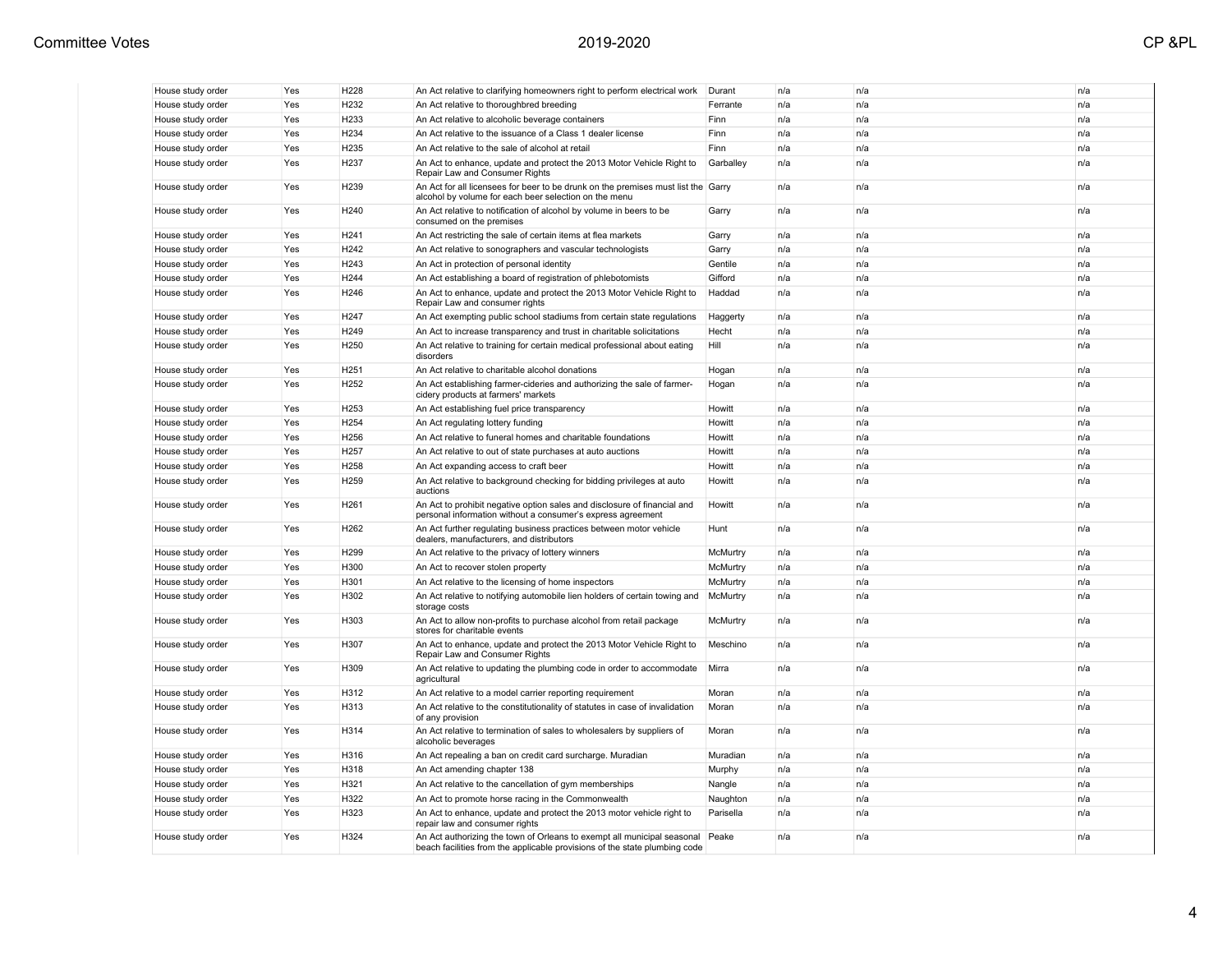| House study order<br>House study order<br>House study order |     |                  |                                                                                                                                                             | Durant    | n/a | n/a | n/a |
|-------------------------------------------------------------|-----|------------------|-------------------------------------------------------------------------------------------------------------------------------------------------------------|-----------|-----|-----|-----|
|                                                             | Yes | H232             | An Act relative to thoroughbred breeding                                                                                                                    | Ferrante  | n/a | n/a | n/a |
|                                                             | Yes | H233             | An Act relative to alcoholic beverage containers                                                                                                            | Finn      | n/a | n/a | n/a |
| House study order                                           | Yes | H <sub>234</sub> | An Act relative to the issuance of a Class 1 dealer license                                                                                                 | Finn      | n/a | n/a | n/a |
| House study order                                           | Yes | H <sub>235</sub> | An Act relative to the sale of alcohol at retail                                                                                                            | Finn      | n/a | n/a | n/a |
| House study order                                           | Yes | H <sub>237</sub> | An Act to enhance, update and protect the 2013 Motor Vehicle Right to<br>Repair Law and Consumer Rights                                                     | Garballey | n/a | n/a | n/a |
| House study order                                           | Yes | H <sub>239</sub> | An Act for all licensees for beer to be drunk on the premises must list the Garry<br>alcohol by volume for each beer selection on the menu                  |           | n/a | n/a | n/a |
| House study order                                           | Yes | H <sub>240</sub> | An Act relative to notification of alcohol by volume in beers to be<br>consumed on the premises                                                             | Garry     | n/a | n/a | n/a |
| House study order                                           | Yes | H <sub>241</sub> | An Act restricting the sale of certain items at flea markets                                                                                                | Garry     | n/a | n/a | n/a |
| House study order                                           | Yes | H <sub>242</sub> | An Act relative to sonographers and vascular technologists                                                                                                  | Garry     | n/a | n/a | n/a |
| House study order                                           | Yes | H243             | An Act in protection of personal identity                                                                                                                   | Gentile   | n/a | n/a | n/a |
| House study order                                           | Yes | H <sub>244</sub> | An Act establishing a board of registration of phlebotomists                                                                                                | Gifford   | n/a | n/a | n/a |
| House study order                                           | Yes | H <sub>246</sub> | An Act to enhance, update and protect the 2013 Motor Vehicle Right to<br>Repair Law and consumer rights                                                     | Haddad    | n/a | n/a | n/a |
| House study order                                           | Yes | H <sub>247</sub> | An Act exempting public school stadiums from certain state regulations                                                                                      | Haggerty  | n/a | n/a | n/a |
| House study order                                           | Yes | H <sub>249</sub> | An Act to increase transparency and trust in charitable solicitations                                                                                       | Hecht     | n/a | n/a | n/a |
| House study order                                           | Yes | H250             | An Act relative to training for certain medical professional about eating<br>disorders                                                                      | Hill      | n/a | n/a | n/a |
| House study order                                           | Yes | H <sub>251</sub> | An Act relative to charitable alcohol donations                                                                                                             | Hogan     | n/a | n/a | n/a |
| House study order                                           | Yes | H <sub>252</sub> | An Act establishing farmer-cideries and authorizing the sale of farmer-<br>cidery products at farmers' markets                                              | Hogan     | n/a | n/a | n/a |
| House study order                                           | Yes | H <sub>253</sub> | An Act establishing fuel price transparency                                                                                                                 | Howitt    | n/a | n/a | n/a |
| House study order                                           | Yes | H <sub>254</sub> | An Act regulating lottery funding                                                                                                                           | Howitt    | n/a | n/a | n/a |
| House study order                                           | Yes | H <sub>256</sub> | An Act relative to funeral homes and charitable foundations                                                                                                 | Howitt    | n/a | n/a | n/a |
| House study order                                           | Yes | H <sub>257</sub> | An Act relative to out of state purchases at auto auctions                                                                                                  | Howitt    | n/a | n/a | n/a |
| House study order                                           | Yes | H <sub>258</sub> | An Act expanding access to craft beer                                                                                                                       | Howitt    | n/a | n/a | n/a |
| House study order                                           | Yes | H <sub>259</sub> | An Act relative to background checking for bidding privileges at auto<br>auctions                                                                           | Howitt    | n/a | n/a | n/a |
| House study order                                           | Yes | H <sub>261</sub> | An Act to prohibit negative option sales and disclosure of financial and<br>personal information without a consumer's express agreement                     | Howitt    | n/a | n/a | n/a |
| House study order                                           | Yes | H <sub>262</sub> | An Act further regulating business practices between motor vehicle<br>dealers, manufacturers, and distributors                                              | Hunt      | n/a | n/a | n/a |
| House study order                                           | Yes | H <sub>299</sub> | An Act relative to the privacy of lottery winners                                                                                                           | McMurtry  | n/a | n/a | n/a |
| House study order                                           | Yes | H300             | An Act to recover stolen property                                                                                                                           | McMurtry  | n/a | n/a | n/a |
| House study order                                           | Yes | H301             | An Act relative to the licensing of home inspectors                                                                                                         | McMurtry  | n/a | n/a | n/a |
| House study order                                           | Yes | H302             | An Act relative to notifying automobile lien holders of certain towing and<br>storage costs                                                                 | McMurtry  | n/a | n/a | n/a |
| House study order                                           | Yes | H303             | An Act to allow non-profits to purchase alcohol from retail package<br>stores for charitable events                                                         | McMurtry  | n/a | n/a | n/a |
| House study order                                           | Yes | H307             | An Act to enhance, update and protect the 2013 Motor Vehicle Right to<br>Repair Law and Consumer Rights                                                     | Meschino  | n/a | n/a | n/a |
| House study order                                           | Yes | H309             | An Act relative to updating the plumbing code in order to accommodate<br>agricultural                                                                       | Mirra     | n/a | n/a | n/a |
| House study order                                           | Yes | H312             | An Act relative to a model carrier reporting requirement                                                                                                    | Moran     | n/a | n/a | n/a |
| House study order                                           | Yes | H313             | An Act relative to the constitutionality of statutes in case of invalidation<br>of any provision                                                            | Moran     | n/a | n/a | n/a |
| House study order                                           | Yes | H314             | An Act relative to termination of sales to wholesalers by suppliers of<br>alcoholic beverages                                                               | Moran     | n/a | n/a | n/a |
| House study order                                           | Yes | H316             | An Act repealing a ban on credit card surcharge. Muradian                                                                                                   | Muradian  | n/a | n/a | n/a |
| House study order                                           | Yes | H318             | An Act amending chapter 138                                                                                                                                 | Murphy    | n/a | n/a | n/a |
| House study order                                           | Yes | H321             | An Act relative to the cancellation of gym memberships                                                                                                      | Nangle    | n/a | n/a | n/a |
| House study order                                           | Yes | H322             | An Act to promote horse racing in the Commonwealth                                                                                                          | Naughton  | n/a | n/a | n/a |
| House study order                                           | Yes | H323             | An Act to enhance, update and protect the 2013 motor vehicle right to<br>repair law and consumer rights                                                     | Parisella | n/a | n/a | n/a |
| House study order                                           | Yes | H324             | An Act authorizing the town of Orleans to exempt all municipal seasonal Peake<br>beach facilities from the applicable provisions of the state plumbing code |           | n/a | n/a | n/a |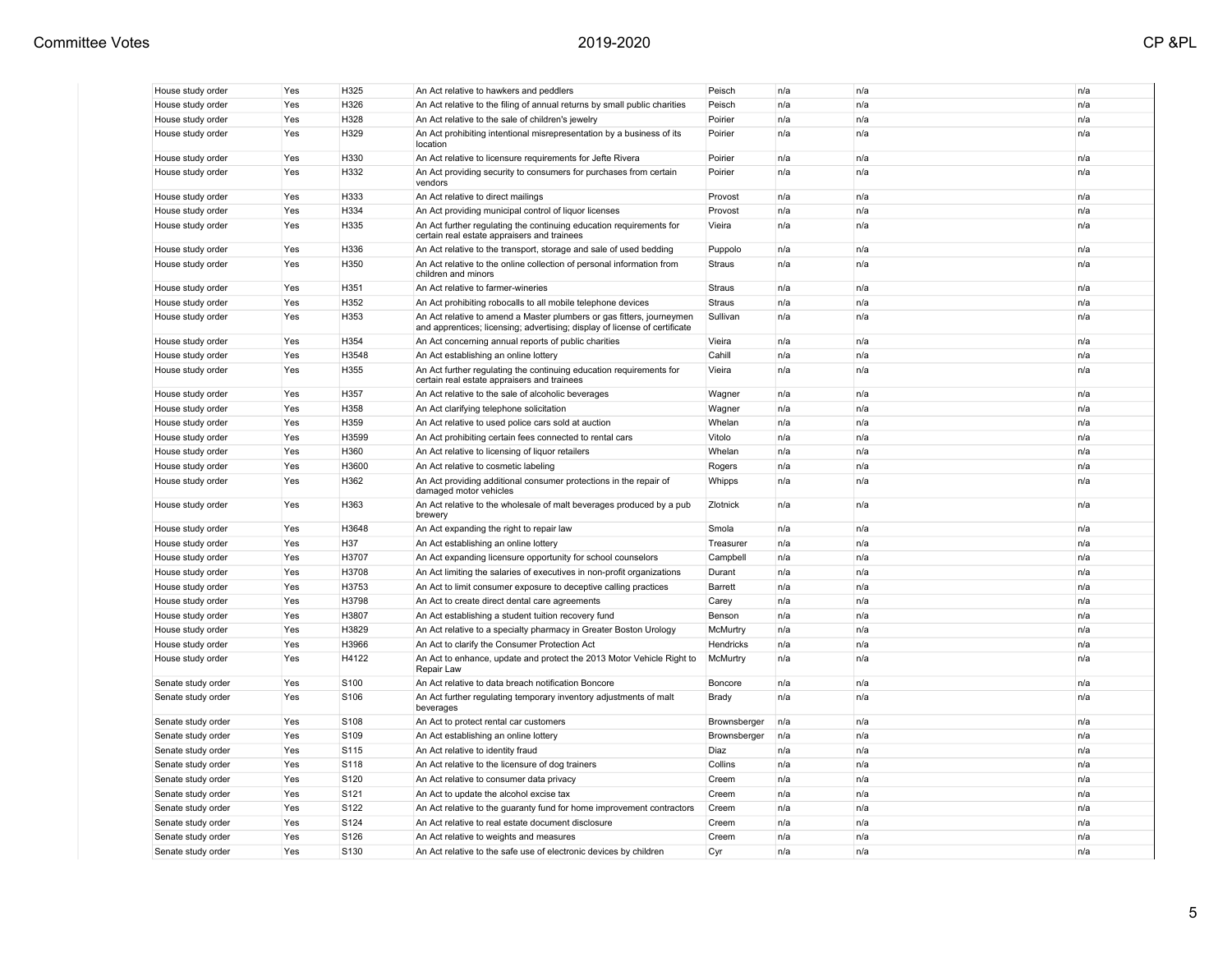| I |
|---|
|   |

| House study order                       | Yes        | H325          | An Act relative to hawkers and peddlers                                                                                                             | Peisch              | n/a        | n/a        | n/a        |
|-----------------------------------------|------------|---------------|-----------------------------------------------------------------------------------------------------------------------------------------------------|---------------------|------------|------------|------------|
| House study order                       | Yes        | H326          | An Act relative to the filing of annual returns by small public charities                                                                           | Peisch              | n/a        | n/a        | n/a        |
| House study order                       | Yes        | H328          | An Act relative to the sale of children's jewelry                                                                                                   | Poirier             | n/a        | n/a        | n/a        |
| House study order                       | Yes        | H329          | An Act prohibiting intentional misrepresentation by a business of its<br>location                                                                   | Poirier             | n/a        | n/a        | n/a        |
| House study order                       | Yes        | H330          | An Act relative to licensure requirements for Jefte Rivera                                                                                          | Poirier             | n/a        | n/a        | n/a        |
| House study order                       | Yes        | H332          | An Act providing security to consumers for purchases from certain<br>vendors                                                                        | Poirier             | n/a        | n/a        | n/a        |
| House study order                       | Yes        | H333          | An Act relative to direct mailings                                                                                                                  | Provost             | n/a        | n/a        | n/a        |
| House study order                       | Yes        | H334          | An Act providing municipal control of liquor licenses                                                                                               | Provost             | n/a        | n/a        | n/a        |
| House study order                       | Yes        | H335          | An Act further regulating the continuing education requirements for<br>certain real estate appraisers and trainees                                  | Vieira              | n/a        | n/a        | n/a        |
| House study order                       | Yes        | H336          | An Act relative to the transport, storage and sale of used bedding                                                                                  | Puppolo             | n/a        | n/a        | n/a        |
| House study order                       | Yes        | H350          | An Act relative to the online collection of personal information from<br>children and minors                                                        | Straus              | n/a        | n/a        | n/a        |
| House study order                       | Yes        | H351          | An Act relative to farmer-wineries                                                                                                                  | Straus              | n/a        | n/a        | n/a        |
| House study order                       | Yes        | H352          | An Act prohibiting robocalls to all mobile telephone devices                                                                                        | Straus              | n/a        | n/a        | n/a        |
| House study order                       | Yes        | H353          | An Act relative to amend a Master plumbers or gas fitters, journeymen<br>and apprentices; licensing; advertising; display of license of certificate | Sullivan            | n/a        | n/a        | n/a        |
| House study order                       | Yes        | H354          | An Act concerning annual reports of public charities                                                                                                | Vieira              | n/a        | n/a        | n/a        |
| House study order                       | Yes        | H3548         | An Act establishing an online lottery                                                                                                               | Cahill              | n/a        | n/a        | n/a        |
| House study order                       | Yes        | H355          | An Act further regulating the continuing education requirements for<br>certain real estate appraisers and trainees                                  | Vieira              | n/a        | n/a        | n/a        |
| House study order                       | Yes        | H357          | An Act relative to the sale of alcoholic beverages                                                                                                  | Wagner              | n/a        | n/a        | n/a        |
| House study order                       | Yes        | H358          | An Act clarifying telephone solicitation                                                                                                            | Wagner              | n/a        | n/a        | n/a        |
| House study order                       | Yes        | H359          | An Act relative to used police cars sold at auction                                                                                                 | Whelan              | n/a        | n/a        | n/a        |
| House study order                       | Yes        | H3599         | An Act prohibiting certain fees connected to rental cars                                                                                            | Vitolo              | n/a        | n/a        | n/a        |
| House study order                       | Yes        | H360          | An Act relative to licensing of liquor retailers                                                                                                    | Whelan              | n/a        | n/a        | n/a        |
| House study order                       | Yes        | H3600         | An Act relative to cosmetic labeling                                                                                                                | Rogers              | n/a        | n/a        | n/a        |
| House study order                       | Yes        | H362          | An Act providing additional consumer protections in the repair of<br>damaged motor vehicles                                                         | Whipps              | n/a        | n/a        | n/a        |
| House study order                       | Yes        | H363          | An Act relative to the wholesale of malt beverages produced by a pub<br>brewery                                                                     | Zlotnick            | n/a        | n/a        | n/a        |
| House study order                       | Yes        | H3648         | An Act expanding the right to repair law                                                                                                            | Smola               | n/a        | n/a        | n/a        |
| House study order                       | Yes        | H37           | An Act establishing an online lottery                                                                                                               | Treasurer           | n/a        | n/a        | n/a        |
| House study order                       | Yes        | H3707         | An Act expanding licensure opportunity for school counselors                                                                                        | Campbell            | n/a        | n/a        | n/a        |
| House study order                       | Yes        | H3708         | An Act limiting the salaries of executives in non-profit organizations                                                                              | Durant              | n/a        | n/a        | n/a        |
| House study order                       | Yes        | H3753         | An Act to limit consumer exposure to deceptive calling practices                                                                                    | Barrett             | n/a        | n/a        | n/a        |
| House study order                       | Yes        | H3798         | An Act to create direct dental care agreements                                                                                                      | Carey               | n/a        | n/a        | n/a        |
| House study order                       | Yes        | H3807         | An Act establishing a student tuition recovery fund                                                                                                 | Benson              | n/a        | n/a        | n/a        |
| House study order                       | Yes        | H3829         | An Act relative to a specialty pharmacy in Greater Boston Urology                                                                                   | McMurtry            | n/a        | n/a        | n/a        |
| House study order                       | Yes        | H3966         | An Act to clarify the Consumer Protection Act                                                                                                       | Hendricks           | n/a        | n/a        | n/a        |
| House study order<br>Senate study order | Yes<br>Yes | H4122<br>S100 | An Act to enhance, update and protect the 2013 Motor Vehicle Right to<br>Repair Law<br>An Act relative to data breach notification Boncore          | McMurtry<br>Boncore | n/a<br>n/a | n/a<br>n/a | n/a<br>n/a |
| Senate study order                      | Yes        | S106          | An Act further regulating temporary inventory adjustments of malt                                                                                   | Brady               | n/a        | n/a        | n/a        |
|                                         |            |               | beverages                                                                                                                                           |                     |            |            |            |
| Senate study order                      | Yes        | S108          | An Act to protect rental car customers                                                                                                              | Brownsberger        | n/a        | n/a        | n/a        |
| Senate study order                      | Yes        | S109          | An Act establishing an online lottery                                                                                                               | Brownsberger        | n/a        | n/a        | n/a        |
| Senate study order                      | Yes        | S115          | An Act relative to identity fraud                                                                                                                   | Diaz                | n/a        | n/a        | n/a        |
| Senate study order                      | Yes        | S118          | An Act relative to the licensure of dog trainers                                                                                                    | Collins             | n/a        | n/a        | n/a        |
| Senate study order                      | Yes        | S120          | An Act relative to consumer data privacy                                                                                                            | Creem               | n/a        | n/a        | n/a        |
| Senate study order                      | Yes        | S121          | An Act to update the alcohol excise tax                                                                                                             | Creem               | n/a        | n/a        | n/a        |
| Senate study order                      | Yes        | S122          | An Act relative to the guaranty fund for home improvement contractors                                                                               | Creem               | n/a        | n/a        | n/a        |
| Senate study order                      | Yes        | S124          | An Act relative to real estate document disclosure                                                                                                  | Creem               | n/a        | n/a        | n/a        |
| Senate study order                      | Yes        | S126          | An Act relative to weights and measures                                                                                                             | Creem               | n/a        | n/a        | n/a        |
| Senate study order                      | Yes        | S130          | An Act relative to the safe use of electronic devices by children                                                                                   | Cyr                 | n/a        | n/a        | n/a        |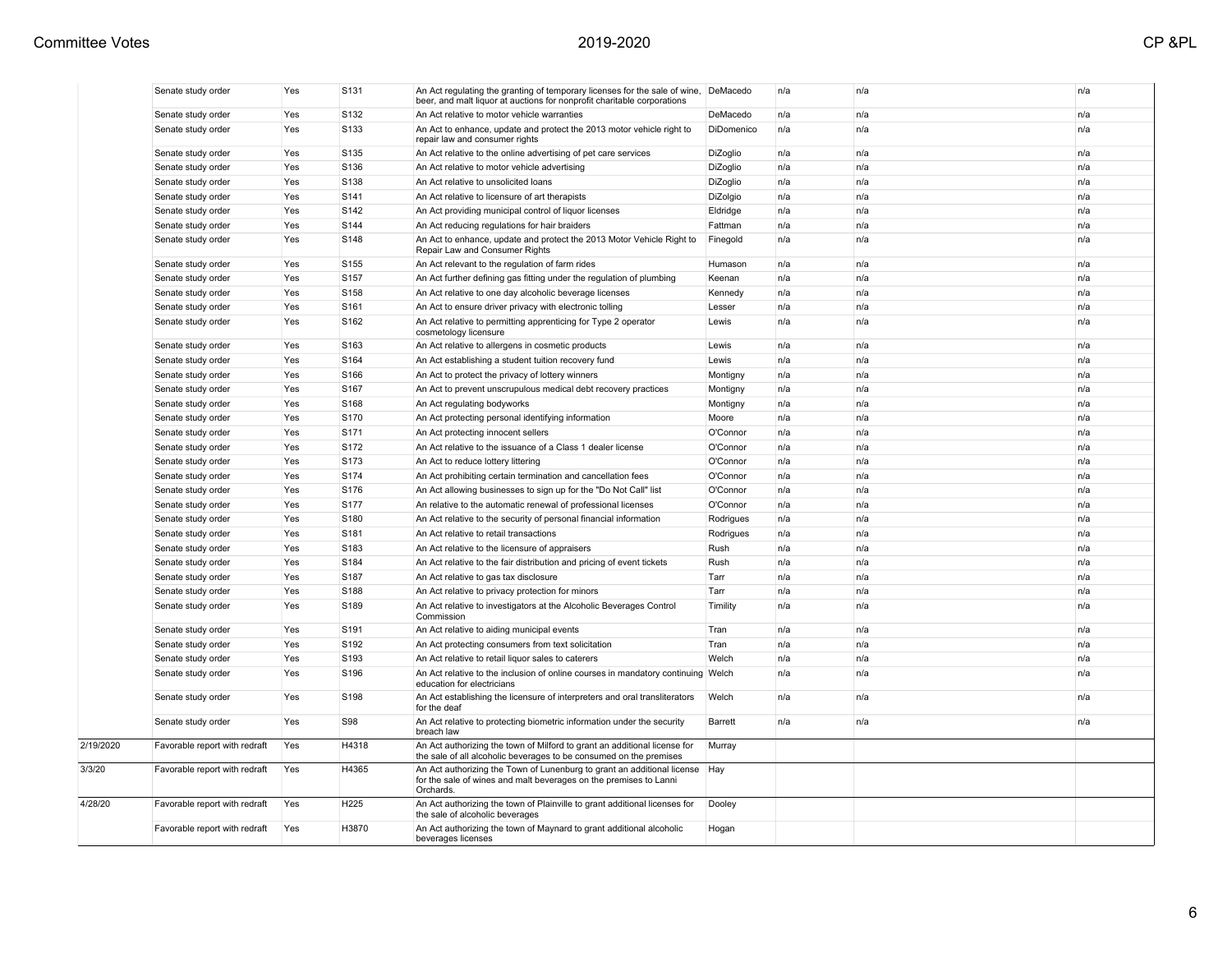|           | Senate study order            | Yes | S131             | An Act regulating the granting of temporary licenses for the sale of wine,<br>beer, and malt liquor at auctions for nonprofit charitable corporations           | DeMacedo   | n/a | n/a | n/a |
|-----------|-------------------------------|-----|------------------|-----------------------------------------------------------------------------------------------------------------------------------------------------------------|------------|-----|-----|-----|
|           | Senate study order            | Yes | S <sub>132</sub> | An Act relative to motor vehicle warranties                                                                                                                     | DeMacedo   | n/a | n/a | n/a |
|           | Senate study order            | Yes | S133             | An Act to enhance, update and protect the 2013 motor vehicle right to<br>repair law and consumer rights                                                         | DiDomenico | n/a | n/a | n/a |
|           | Senate study order            | Yes | S135             | An Act relative to the online advertising of pet care services                                                                                                  | DiZoglio   | n/a | n/a | n/a |
|           | Senate study order            | Yes | S136             | An Act relative to motor vehicle advertising                                                                                                                    | DiZoglio   | n/a | n/a | n/a |
|           | Senate study order            | Yes | S138             | An Act relative to unsolicited loans                                                                                                                            | DiZoglio   | n/a | n/a | n/a |
|           | Senate study order            | Yes | S141             | An Act relative to licensure of art therapists                                                                                                                  | DiZolgio   | n/a | n/a | n/a |
|           | Senate study order            | Yes | S <sub>142</sub> | An Act providing municipal control of liquor licenses                                                                                                           | Eldridge   | n/a | n/a | n/a |
|           | Senate study order            | Yes | S144             | An Act reducing regulations for hair braiders                                                                                                                   | Fattman    | n/a | n/a | n/a |
|           | Senate study order            | Yes | S148             | An Act to enhance, update and protect the 2013 Motor Vehicle Right to<br>Repair Law and Consumer Rights                                                         | Finegold   | n/a | n/a | n/a |
|           | Senate study order            | Yes | S155             | An Act relevant to the regulation of farm rides                                                                                                                 | Humason    | n/a | n/a | n/a |
|           | Senate study order            | Yes | S <sub>157</sub> | An Act further defining gas fitting under the regulation of plumbing                                                                                            | Keenan     | n/a | n/a | n/a |
|           | Senate study order            | Yes | S158             | An Act relative to one day alcoholic beverage licenses                                                                                                          | Kennedy    | n/a | n/a | n/a |
|           | Senate study order            | Yes | S161             | An Act to ensure driver privacy with electronic tolling                                                                                                         | Lesser     | n/a | n/a | n/a |
|           | Senate study order            | Yes | S <sub>162</sub> | An Act relative to permitting apprenticing for Type 2 operator<br>cosmetology licensure                                                                         | Lewis      | n/a | n/a | n/a |
|           | Senate study order            | Yes | S163             | An Act relative to allergens in cosmetic products                                                                                                               | Lewis      | n/a | n/a | n/a |
|           | Senate study order            | Yes | S164             | An Act establishing a student tuition recovery fund                                                                                                             | Lewis      | n/a | n/a | n/a |
|           | Senate study order            | Yes | S166             | An Act to protect the privacy of lottery winners                                                                                                                | Montigny   | n/a | n/a | n/a |
|           | Senate study order            | Yes | S167             | An Act to prevent unscrupulous medical debt recovery practices                                                                                                  | Montigny   | n/a | n/a | n/a |
|           | Senate study order            | Yes | S <sub>168</sub> | An Act regulating bodyworks                                                                                                                                     | Montigny   | n/a | n/a | n/a |
|           | Senate study order            | Yes | S170             | An Act protecting personal identifying information                                                                                                              | Moore      | n/a | n/a | n/a |
|           | Senate study order            | Yes | S171             | An Act protecting innocent sellers                                                                                                                              | O'Connor   | n/a | n/a | n/a |
|           | Senate study order            | Yes | S172             | An Act relative to the issuance of a Class 1 dealer license                                                                                                     | O'Connor   | n/a | n/a | n/a |
|           | Senate study order            | Yes | S <sub>173</sub> | An Act to reduce lottery littering                                                                                                                              | O'Connor   | n/a | n/a | n/a |
|           | Senate study order            | Yes | S174             | An Act prohibiting certain termination and cancellation fees                                                                                                    | O'Connor   | n/a | n/a | n/a |
|           | Senate study order            | Yes | S176             | An Act allowing businesses to sign up for the "Do Not Call" list                                                                                                | O'Connor   | n/a | n/a | n/a |
|           | Senate study order            | Yes | S177             | An relative to the automatic renewal of professional licenses                                                                                                   | O'Connor   | n/a | n/a | n/a |
|           | Senate study order            | Yes | S180             | An Act relative to the security of personal financial information                                                                                               | Rodrigues  | n/a | n/a | n/a |
|           | Senate study order            | Yes | S181             | An Act relative to retail transactions                                                                                                                          | Rodrigues  | n/a | n/a | n/a |
|           | Senate study order            | Yes | S183             | An Act relative to the licensure of appraisers                                                                                                                  | Rush       | n/a | n/a | n/a |
|           | Senate study order            | Yes | S184             | An Act relative to the fair distribution and pricing of event tickets                                                                                           | Rush       | n/a | n/a | n/a |
|           | Senate study order            | Yes | S <sub>187</sub> | An Act relative to gas tax disclosure                                                                                                                           | Tarr       | n/a | n/a | n/a |
|           | Senate study order            | Yes | S188             | An Act relative to privacy protection for minors                                                                                                                | Tarr       | n/a | n/a | n/a |
|           | Senate study order            | Yes | S189             | An Act relative to investigators at the Alcoholic Beverages Control<br>Commission                                                                               | Timility   | n/a | n/a | n/a |
|           | Senate study order            | Yes | S <sub>191</sub> | An Act relative to aiding municipal events                                                                                                                      | Tran       | n/a | n/a | n/a |
|           | Senate study order            | Yes | S192             | An Act protecting consumers from text solicitation                                                                                                              | Tran       | n/a | n/a | n/a |
|           | Senate study order            | Yes | S <sub>193</sub> | An Act relative to retail liquor sales to caterers                                                                                                              | Welch      | n/a | n/a | n/a |
|           | Senate study order            | Yes | S196             | An Act relative to the inclusion of online courses in mandatory continuing Welch<br>education for electricians                                                  |            | n/a | n/a | n/a |
|           | Senate study order            | Yes | S <sub>198</sub> | An Act establishing the licensure of interpreters and oral transliterators<br>for the deaf                                                                      | Welch      | n/a | n/a | n/a |
|           | Senate study order            | Yes | S98              | An Act relative to protecting biometric information under the security<br>breach law                                                                            | Barrett    | n/a | n/a | n/a |
| 2/19/2020 | Favorable report with redraft | Yes | H4318            | An Act authorizing the town of Milford to grant an additional license for<br>the sale of all alcoholic beverages to be consumed on the premises                 | Murray     |     |     |     |
| 3/3/20    | Favorable report with redraft | Yes | H4365            | An Act authorizing the Town of Lunenburg to grant an additional license   Hay<br>for the sale of wines and malt beverages on the premises to Lanni<br>Orchards. |            |     |     |     |
| 4/28/20   | Favorable report with redraft | Yes | H225             | An Act authorizing the town of Plainville to grant additional licenses for<br>the sale of alcoholic beverages                                                   | Dooley     |     |     |     |
|           | Favorable report with redraft | Yes | H3870            | An Act authorizing the town of Maynard to grant additional alcoholic<br>beverages licenses                                                                      | Hogan      |     |     |     |
|           |                               |     |                  |                                                                                                                                                                 |            |     |     |     |